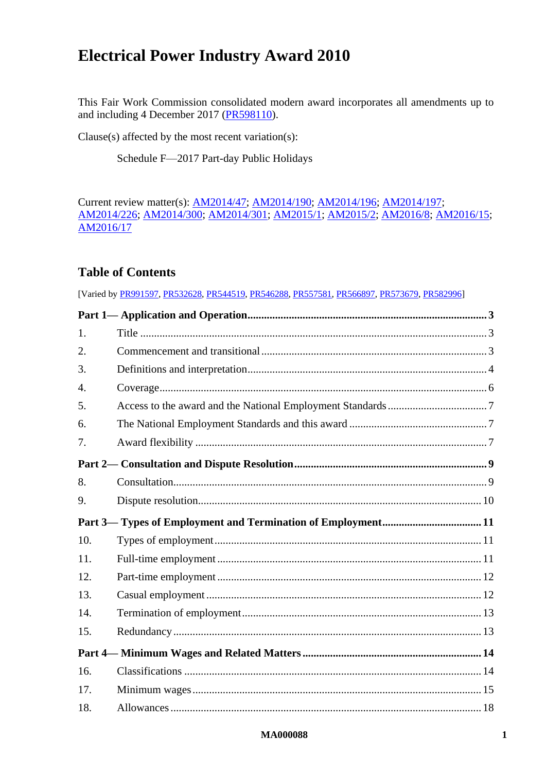# **Electrical Power Industry Award 2010**

This Fair Work Commission consolidated modern award incorporates all amendments up to and including 4 December 2017 [\(PR598110\)](http://www.fwc.gov.au/documents/awardsandorders/html/pr598110.htm).

Clause(s) affected by the most recent variation(s):

[Schedule F—2017 Part-day Public Holidays](#page-53-0)

Current review matter(s): [AM2014/47;](https://www.fwc.gov.au/awards-agreements/awards/modern-award-reviews/4-yearly-review/common-issues/am201447-annual-leave) [AM2014/190;](https://www.fwc.gov.au/awards-agreements/awards/modern-award-reviews/4-yearly-review/common-issues/am2014190-transitional) [AM2014/196;](https://www.fwc.gov.au/awards-agreements/awards/modern-award-reviews/4-yearly-review/common-issues/am2014196-part-time) [AM2014/197;](https://www.fwc.gov.au/awards-agreements/awards/modern-award-reviews/4-yearly-review/common-issues/am2014197-casual) [AM2014/226;](https://www.fwc.gov.au/awards-and-agreements/modern-award-reviews/4-yearly-review/award-stage/award-review-documents/MA000088?m=AM2014/226) [AM2014/300;](https://www.fwc.gov.au/awards-agreements/awards/modern-award-reviews/4-yearly-review/common-issues/am2014300-award) [AM2014/301;](https://www.fwc.gov.au/awards-agreements/awards/modern-award-reviews/4-yearly-review/common-issues/am2014301-public) [AM2015/1;](https://www.fwc.gov.au/awards-agreements/awards/modern-award-reviews/4-yearly-review/common-issues/am20151-family-and) [AM2015/2;](https://www.fwc.gov.au/awards-and-agreements/modern-award-reviews/4-yearly-review/am20152-family-friendly-work-arrangemen-0) [AM2016/8;](https://www.fwc.gov.au/awards-agreements/awards/modern-award-reviews/4-yearly-review/common-issues/am20168-payment-wages) [AM2016/15;](https://www.fwc.gov.au/awards-agreements/awards/modern-award-reviews/4-yearly-review/common-issues/am201615-plain-language) [AM2016/17](https://www.fwc.gov.au/awards-agreements/awards/modern-award-reviews/4-yearly-review/common-issues/am201617-national)

# **Table of Contents**

|                  | [Varied by PR991597, PR532628, PR544519, PR546288, PR557581, PR566897, PR573679, PR582996] |  |
|------------------|--------------------------------------------------------------------------------------------|--|
|                  |                                                                                            |  |
| 1.               |                                                                                            |  |
| 2.               |                                                                                            |  |
| 3.               |                                                                                            |  |
| $\overline{4}$ . |                                                                                            |  |
| 5.               |                                                                                            |  |
| 6.               |                                                                                            |  |
| 7.               |                                                                                            |  |
|                  |                                                                                            |  |
| 8.               |                                                                                            |  |
| 9.               |                                                                                            |  |
|                  |                                                                                            |  |
| 10.              |                                                                                            |  |
| 11.              |                                                                                            |  |
| 12.              |                                                                                            |  |
| 13.              |                                                                                            |  |
| 14.              |                                                                                            |  |
| 15.              |                                                                                            |  |
|                  |                                                                                            |  |
| 16.              |                                                                                            |  |
| 17.              |                                                                                            |  |
| 18.              |                                                                                            |  |
|                  |                                                                                            |  |

### **MA000088 1**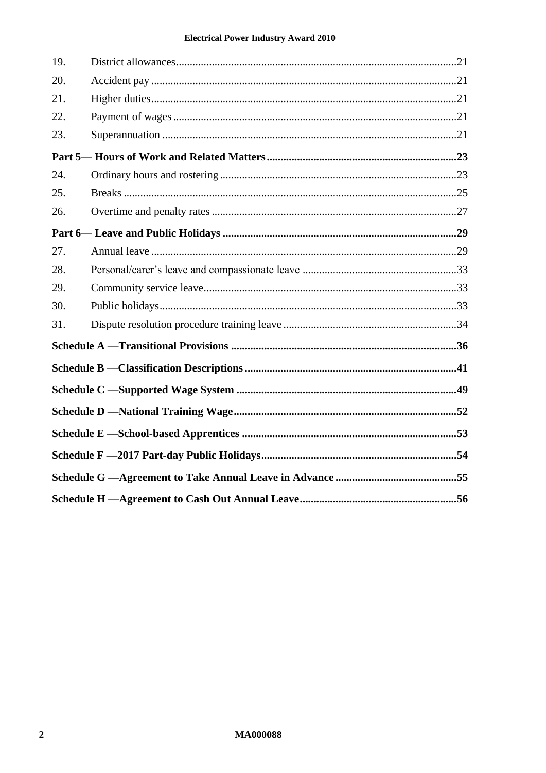### **Electrical Power Industry Award 2010**

| 19. |  |
|-----|--|
| 20. |  |
| 21. |  |
| 22. |  |
| 23. |  |
|     |  |
| 24. |  |
| 25. |  |
| 26. |  |
|     |  |
| 27. |  |
| 28. |  |
| 29. |  |
| 30. |  |
| 31. |  |
|     |  |
|     |  |
|     |  |
|     |  |
|     |  |
|     |  |
|     |  |
|     |  |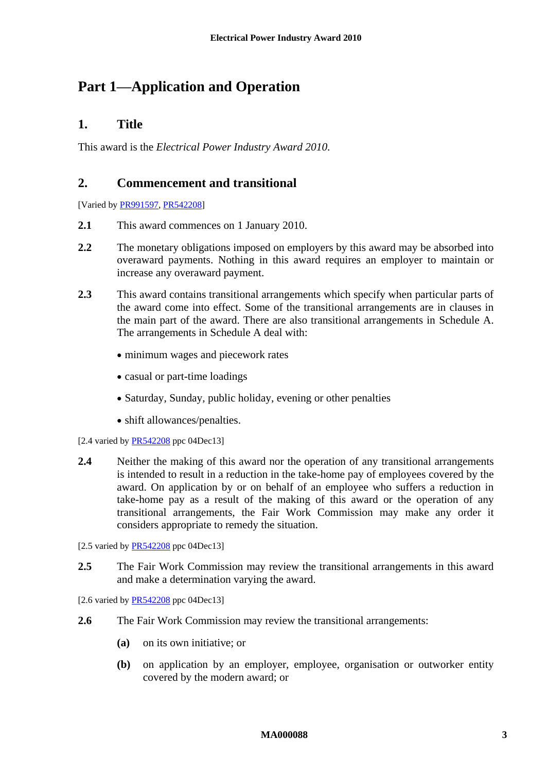# <span id="page-2-1"></span><span id="page-2-0"></span>**Part 1—Application and Operation**

# **1. Title**

<span id="page-2-2"></span>This award is the *Electrical Power Industry Award 2010*.

# **2. Commencement and transitional**

[Varied b[y PR991597,](http://www.fwc.gov.au/alldocuments/PR991597.htm) [PR542208\]](http://www.fwc.gov.au/awardsandorders/html/PR542208.htm)

- **2.1** This award commences on 1 January 2010.
- **2.2** The monetary obligations imposed on employers by this award may be absorbed into overaward payments. Nothing in this award requires an employer to maintain or increase any overaward payment.
- **2.3** This award contains transitional arrangements which specify when particular parts of the award come into effect. Some of the transitional arrangements are in clauses in the main part of the award. There are also transitional arrangements in [Schedule A.](#page-35-0) The arrangements in [Schedule A](#page-35-0) deal with:
	- minimum wages and piecework rates
	- casual or part-time loadings
	- Saturday, Sunday, public holiday, evening or other penalties
	- shift allowances/penalties.
- [2.4 varied by  $PR542208$  ppc 04Dec13]
- **2.4** Neither the making of this award nor the operation of any transitional arrangements is intended to result in a reduction in the take-home pay of employees covered by the award. On application by or on behalf of an employee who suffers a reduction in take-home pay as a result of the making of this award or the operation of any transitional arrangements, the Fair Work Commission may make any order it considers appropriate to remedy the situation.
- [2.5 varied by [PR542208](http://www.fwc.gov.au/awardsandorders/html/PR542208.htm) ppc 04Dec13]
- **2.5** The Fair Work Commission may review the transitional arrangements in this award and make a determination varying the award.

[2.6 varied by [PR542208](http://www.fwc.gov.au/awardsandorders/html/PR542208.htm) ppc 04Dec13]

- **2.6** The Fair Work Commission may review the transitional arrangements:
	- **(a)** on its own initiative; or
	- **(b)** on application by an employer, employee, organisation or outworker entity covered by the modern award; or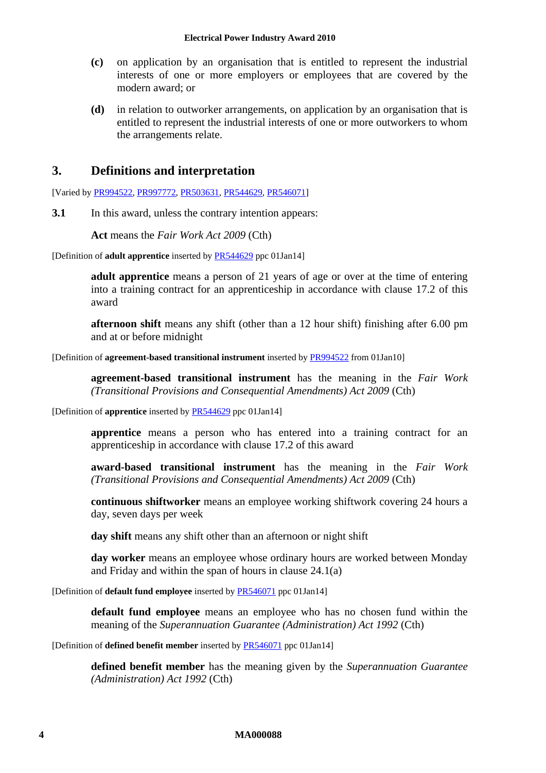- **(c)** on application by an organisation that is entitled to represent the industrial interests of one or more employers or employees that are covered by the modern award; or
- **(d)** in relation to outworker arrangements, on application by an organisation that is entitled to represent the industrial interests of one or more outworkers to whom the arrangements relate.

# <span id="page-3-0"></span>**3. Definitions and interpretation**

[Varied by [PR994522,](http://www.fwc.gov.au/awardsandorders/html/PR994522.htm) [PR997772,](http://www.fwc.gov.au/awardsandorders/html/PR997772.htm) [PR503631,](http://www.fwc.gov.au/awardsandorders/html/PR503631.htm) [PR544629,](http://www.fwc.gov.au/awardsandorders/html/PR544629.htm) [PR546071\]](http://www.fwc.gov.au/awardsandorders/html/PR546071.htm)

**3.1** In this award, unless the contrary intention appears:

**Act** means the *Fair Work Act 2009* (Cth)

[Definition of **adult apprentice** inserted by [PR544629](http://www.fwc.gov.au/awardsandorders/html/PR544629.htm) ppc 01Jan14]

**adult apprentice** means a person of 21 years of age or over at the time of entering into a training contract for an apprenticeship in accordance with clause [17.2](#page-14-1) of this award

**afternoon shift** means any shift (other than a 12 hour shift) finishing after 6.00 pm and at or before midnight

[Definition of **agreement-based transitional instrument** inserted by [PR994522](http://www.fwc.gov.au/awardsandorders/html/PR994522.htm) from 01Jan10]

**agreement-based transitional instrument** has the meaning in the *Fair Work (Transitional Provisions and Consequential Amendments) Act 2009* (Cth)

[Definition of **apprentice** inserted by [PR544629](http://www.fwc.gov.au/awardsandorders/html/PR544629.htm) ppc 01Jan14]

**apprentice** means a person who has entered into a training contract for an apprenticeship in accordance with clause [17.2](#page-14-1) of this award

**award-based transitional instrument** has the meaning in the *Fair Work (Transitional Provisions and Consequential Amendments) Act 2009* (Cth)

**continuous shiftworker** means an employee working shiftwork covering 24 hours a day, seven days per week

**day shift** means any shift other than an afternoon or night shift

**day worker** means an employee whose ordinary hours are worked between Monday and Friday and within the span of hours in clause [24.1\(a\)](#page-22-2)

[Definition of **default fund employee** inserted b[y PR546071](http://www.fwc.gov.au/awardsandorders/html/PR546071.htm) ppc 01Jan14]

**default fund employee** means an employee who has no chosen fund within the meaning of the *Superannuation Guarantee (Administration) Act 1992* (Cth)

[Definition of **defined benefit member** inserted by [PR546071](http://www.fwc.gov.au/awardsandorders/html/PR546071.htm) ppc 01Jan14]

**defined benefit member** has the meaning given by the *Superannuation Guarantee (Administration) Act 1992* (Cth)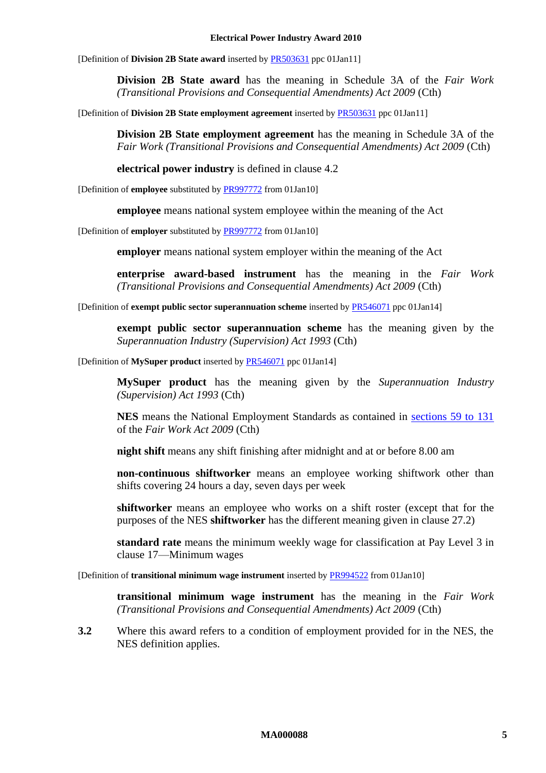#### **Electrical Power Industry Award 2010**

[Definition of **Division 2B State award** inserted by [PR503631](http://www.fwc.gov.au/awardsandorders/html/PR503631.htm) ppc 01Jan11]

**Division 2B State award** has the meaning in Schedule 3A of the *Fair Work (Transitional Provisions and Consequential Amendments) Act 2009* (Cth)

[Definition of **Division 2B State employment agreement** inserted by [PR503631](http://www.fwc.gov.au/awardsandorders/html/PR503631.htm) ppc 01Jan11]

**Division 2B State employment agreement** has the meaning in Schedule 3A of the *Fair Work (Transitional Provisions and Consequential Amendments) Act 2009* (Cth)

**electrical power industry** is defined in clause [4.2](#page-5-1)

[Definition of **employee** substituted b[y PR997772](http://www.fwc.gov.au/awardsandorders/html/PR997772.htm) from 01Jan10]

**employee** means national system employee within the meaning of the Act

[Definition of **employer** substituted b[y PR997772](http://www.fwc.gov.au/awardsandorders/html/PR997772.htm) from 01Jan10]

**employer** means national system employer within the meaning of the Act

**enterprise award-based instrument** has the meaning in the *Fair Work (Transitional Provisions and Consequential Amendments) Act 2009* (Cth)

[Definition of **exempt public sector superannuation scheme** inserted b[y PR546071](http://www.fwc.gov.au/awardsandorders/html/PR546071.htm) ppc 01Jan14]

**exempt public sector superannuation scheme** has the meaning given by the *Superannuation Industry (Supervision) Act 1993* (Cth)

[Definition of **MySuper product** inserted by [PR546071](http://www.fwc.gov.au/awardsandorders/html/PR546071.htm) ppc 01Jan14]

**MySuper product** has the meaning given by the *Superannuation Industry (Supervision) Act 1993* (Cth)

**NES** means the National Employment Standards as contained in [sections 59 to 131](http://www.fwc.gov.au/awardmod/download/nes.pdf) of the *Fair Work Act 2009* (Cth)

**night shift** means any shift finishing after midnight and at or before 8.00 am

**non-continuous shiftworker** means an employee working shiftwork other than shifts covering 24 hours a day, seven days per week

**shiftworker** means an employee who works on a shift roster (except that for the purposes of the NES **shiftworker** has the different meaning given in clause [27.2\)](#page-28-2)

<span id="page-4-0"></span>**standard rate** means the minimum weekly wage for classification at Pay Level 3 in clause [17—Minimum wages](#page-14-0)

[Definition of **transitional minimum wage instrument** inserted b[y PR994522](http://www.fwc.gov.au/awardsandorders/html/PR994522.htm) from 01Jan10]

**transitional minimum wage instrument** has the meaning in the *Fair Work (Transitional Provisions and Consequential Amendments) Act 2009* (Cth)

**3.2** Where this award refers to a condition of employment provided for in the NES, the NES definition applies.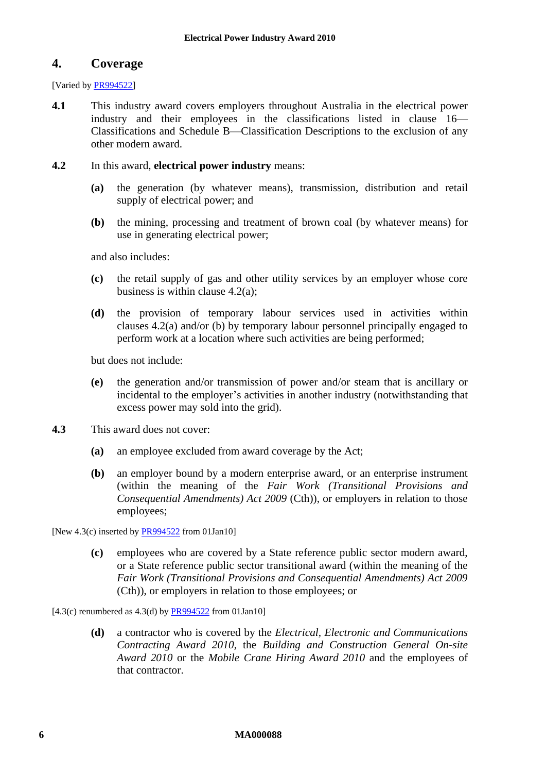# <span id="page-5-0"></span>**4. Coverage**

[Varied by [PR994522\]](http://www.fwc.gov.au/awardsandorders/html/PR994522.htm)

- <span id="page-5-4"></span>**4.1** This industry award covers employers throughout Australia in the electrical power industry and their employees in the classifications listed in clause [16—](#page-13-1) [Classifications](#page-13-1) and [Schedule B—Classification](#page-40-0) Descriptions to the exclusion of any other modern award.
- <span id="page-5-3"></span><span id="page-5-2"></span><span id="page-5-1"></span>**4.2** In this award, **electrical power industry** means:
	- **(a)** the generation (by whatever means), transmission, distribution and retail supply of electrical power; and
	- **(b)** the mining, processing and treatment of brown coal (by whatever means) for use in generating electrical power;

and also includes:

- **(c)** the retail supply of gas and other utility services by an employer whose core business is within clause [4.2\(a\);](#page-5-2)
- **(d)** the provision of temporary labour services used in activities within clauses [4.2\(a\)](#page-5-2) and/or [\(b\)](#page-5-3) by temporary labour personnel principally engaged to perform work at a location where such activities are being performed;

but does not include:

- **(e)** the generation and/or transmission of power and/or steam that is ancillary or incidental to the employer's activities in another industry (notwithstanding that excess power may sold into the grid).
- **4.3** This award does not cover:
	- **(a)** an employee excluded from award coverage by the Act;
	- **(b)** an employer bound by a modern enterprise award, or an enterprise instrument (within the meaning of the *Fair Work (Transitional Provisions and Consequential Amendments) Act 2009* (Cth)), or employers in relation to those employees;

[New 4.3(c) inserted by [PR994522](http://www.fwc.gov.au/awardsandorders/html/PR994522.htm) from 01Jan10]

**(c)** employees who are covered by a State reference public sector modern award, or a State reference public sector transitional award (within the meaning of the *Fair Work (Transitional Provisions and Consequential Amendments) Act 2009*  (Cth)), or employers in relation to those employees; or

[4.3(c) renumbered as  $4.3$ (d) by  $PR994522$  from 01Jan10]

**(d)** a contractor who is covered by the *Electrical, Electronic and Communications Contracting Award 2010,* the *Building and Construction General On-site Award 2010* or the *Mobile Crane Hiring Award 2010* and the employees of that contractor.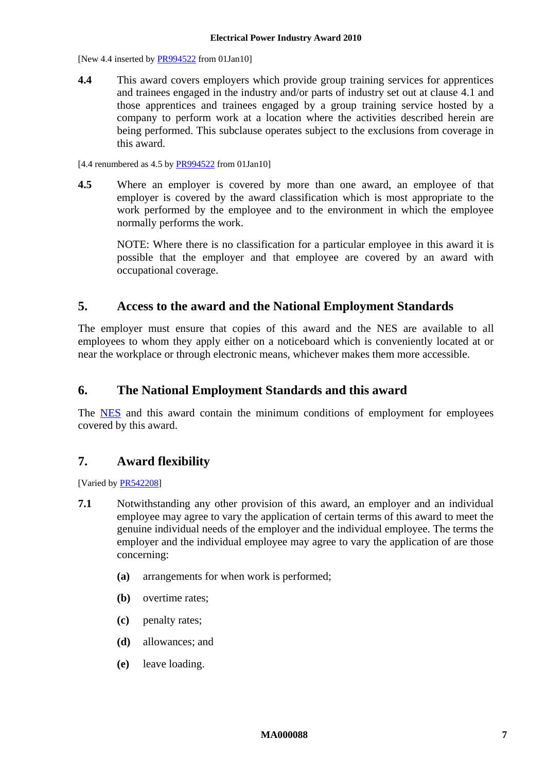[New 4.4 inserted b[y PR994522](http://www.fwc.gov.au/awardsandorders/html/PR994522.htm) from 01Jan10]

**4.4** This award covers employers which provide group training services for apprentices and trainees engaged in the industry and/or parts of industry set out at clause [4.1](#page-5-4) and those apprentices and trainees engaged by a group training service hosted by a company to perform work at a location where the activities described herein are being performed. This subclause operates subject to the exclusions from coverage in this award.

[4.4 renumbered as  $4.5$  by  $PR994522$  from 01Jan10]

**4.5** Where an employer is covered by more than one award, an employee of that employer is covered by the award classification which is most appropriate to the work performed by the employee and to the environment in which the employee normally performs the work.

NOTE: Where there is no classification for a particular employee in this award it is possible that the employer and that employee are covered by an award with occupational coverage.

# <span id="page-6-0"></span>**5. Access to the award and the National Employment Standards**

The employer must ensure that copies of this award and the NES are available to all employees to whom they apply either on a noticeboard which is conveniently located at or near the workplace or through electronic means, whichever makes them more accessible.

# <span id="page-6-1"></span>**6. The National Employment Standards and this award**

The [NES](http://www.fwc.gov.au/awardmod/download/nes.pdf) and this award contain the minimum conditions of employment for employees covered by this award.

# <span id="page-6-2"></span>**7. Award flexibility**

<span id="page-6-3"></span>[Varied b[y PR542208\]](http://www.fwc.gov.au/awardsandorders/html/PR542208.htm)

- **7.1** Notwithstanding any other provision of this award, an employer and an individual employee may agree to vary the application of certain terms of this award to meet the genuine individual needs of the employer and the individual employee. The terms the employer and the individual employee may agree to vary the application of are those concerning:
	- **(a)** arrangements for when work is performed;
	- **(b)** overtime rates;
	- **(c)** penalty rates;
	- **(d)** allowances; and
	- **(e)** leave loading.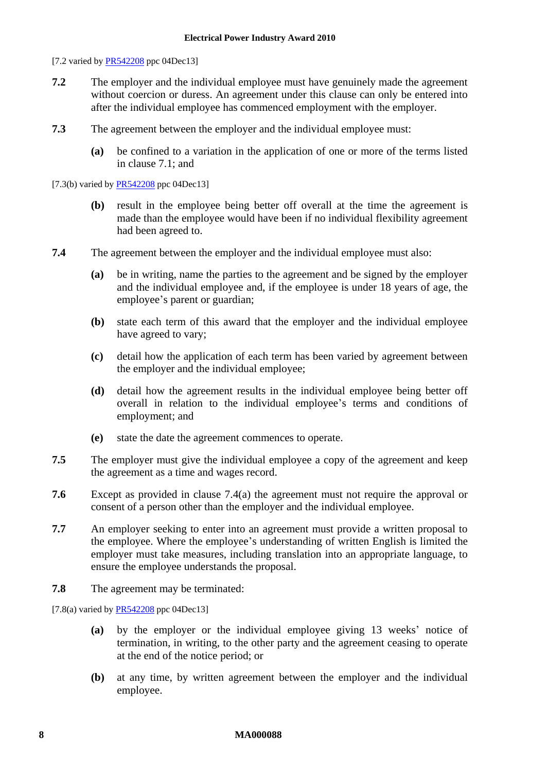[7.2 varied by [PR542208](http://www.fwc.gov.au/awardsandorders/html/PR542208.htm) ppc 04Dec13]

- **7.2** The employer and the individual employee must have genuinely made the agreement without coercion or duress. An agreement under this clause can only be entered into after the individual employee has commenced employment with the employer.
- **7.3** The agreement between the employer and the individual employee must:
	- **(a)** be confined to a variation in the application of one or more of the terms listed in clause [7.1;](#page-6-3) and

[7.3(b) varied b[y PR542208](http://www.fwc.gov.au/awardsandorders/html/PR542208.htm) ppc 04Dec13]

- **(b)** result in the employee being better off overall at the time the agreement is made than the employee would have been if no individual flexibility agreement had been agreed to.
- <span id="page-7-0"></span>**7.4** The agreement between the employer and the individual employee must also:
	- **(a)** be in writing, name the parties to the agreement and be signed by the employer and the individual employee and, if the employee is under 18 years of age, the employee's parent or guardian;
	- **(b)** state each term of this award that the employer and the individual employee have agreed to vary;
	- **(c)** detail how the application of each term has been varied by agreement between the employer and the individual employee;
	- **(d)** detail how the agreement results in the individual employee being better off overall in relation to the individual employee's terms and conditions of employment; and
	- **(e)** state the date the agreement commences to operate.
- **7.5** The employer must give the individual employee a copy of the agreement and keep the agreement as a time and wages record.
- **7.6** Except as provided in clause [7.4\(a\)](#page-7-0) the agreement must not require the approval or consent of a person other than the employer and the individual employee.
- **7.7** An employer seeking to enter into an agreement must provide a written proposal to the employee. Where the employee's understanding of written English is limited the employer must take measures, including translation into an appropriate language, to ensure the employee understands the proposal.
- **7.8** The agreement may be terminated:

<span id="page-7-1"></span>[7.8(a) varied by  $PR542208$  ppc 04Dec13]

- **(a)** by the employer or the individual employee giving 13 weeks' notice of termination, in writing, to the other party and the agreement ceasing to operate at the end of the notice period; or
- **(b)** at any time, by written agreement between the employer and the individual employee.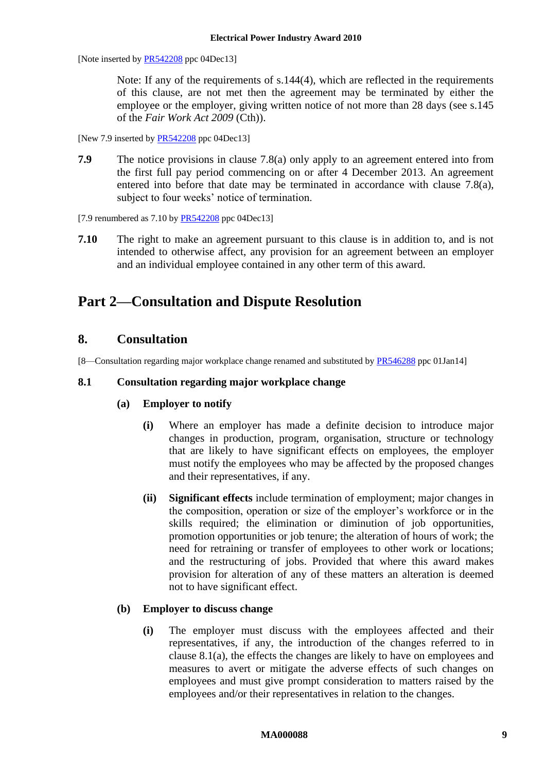[Note inserted by [PR542208](http://www.fwc.gov.au/awardsandorders/html/PR542208.htm) ppc 04Dec13]

Note: If any of the requirements of s.144(4), which are reflected in the requirements of this clause, are not met then the agreement may be terminated by either the employee or the employer, giving written notice of not more than 28 days (see s.145 of the *Fair Work Act 2009* (Cth)).

[New 7.9 inserted by [PR542208](http://www.fwc.gov.au/awardsandorders/html/PR542208.htm) ppc 04Dec13]

**7.9** The notice provisions in clause [7.8\(a\)](#page-7-1) only apply to an agreement entered into from the first full pay period commencing on or after 4 December 2013. An agreement entered into before that date may be terminated in accordance with clause [7.8\(a\),](#page-7-1) subject to four weeks' notice of termination.

[7.9 renumbered as 7.10 by [PR542208](http://www.fwc.gov.au/awardsandorders/html/PR542208.htm) ppc 04Dec13]

**7.10** The right to make an agreement pursuant to this clause is in addition to, and is not intended to otherwise affect, any provision for an agreement between an employer and an individual employee contained in any other term of this award.

# <span id="page-8-1"></span><span id="page-8-0"></span>**Part 2—Consultation and Dispute Resolution**

# **8. Consultation**

[8—Consultation regarding major workplace change renamed and substituted by [PR546288](http://www.fwc.gov.au/awardsandorders/html/pr546288.htm) ppc 01Jan14]

### <span id="page-8-2"></span>**8.1 Consultation regarding major workplace change**

- **(a) Employer to notify**
	- **(i)** Where an employer has made a definite decision to introduce major changes in production, program, organisation, structure or technology that are likely to have significant effects on employees, the employer must notify the employees who may be affected by the proposed changes and their representatives, if any.
	- **(ii) Significant effects** include termination of employment; major changes in the composition, operation or size of the employer's workforce or in the skills required; the elimination or diminution of job opportunities, promotion opportunities or job tenure; the alteration of hours of work; the need for retraining or transfer of employees to other work or locations; and the restructuring of jobs. Provided that where this award makes provision for alteration of any of these matters an alteration is deemed not to have significant effect.

### **(b) Employer to discuss change**

**(i)** The employer must discuss with the employees affected and their representatives, if any, the introduction of the changes referred to in clause [8.1\(a\),](#page-8-2) the effects the changes are likely to have on employees and measures to avert or mitigate the adverse effects of such changes on employees and must give prompt consideration to matters raised by the employees and/or their representatives in relation to the changes.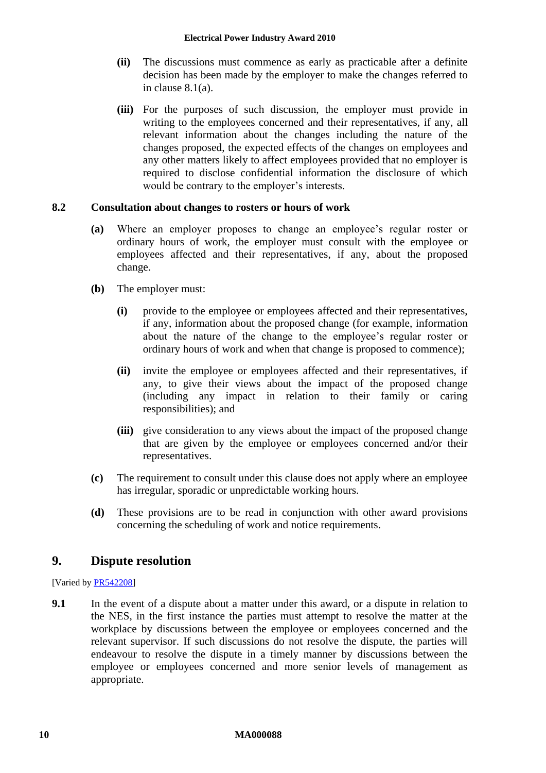- **(ii)** The discussions must commence as early as practicable after a definite decision has been made by the employer to make the changes referred to in clause [8.1\(a\).](#page-8-2)
- **(iii)** For the purposes of such discussion, the employer must provide in writing to the employees concerned and their representatives, if any, all relevant information about the changes including the nature of the changes proposed, the expected effects of the changes on employees and any other matters likely to affect employees provided that no employer is required to disclose confidential information the disclosure of which would be contrary to the employer's interests.

### **8.2 Consultation about changes to rosters or hours of work**

- **(a)** Where an employer proposes to change an employee's regular roster or ordinary hours of work, the employer must consult with the employee or employees affected and their representatives, if any, about the proposed change.
- **(b)** The employer must:
	- **(i)** provide to the employee or employees affected and their representatives, if any, information about the proposed change (for example, information about the nature of the change to the employee's regular roster or ordinary hours of work and when that change is proposed to commence);
	- **(ii)** invite the employee or employees affected and their representatives, if any, to give their views about the impact of the proposed change (including any impact in relation to their family or caring responsibilities); and
	- **(iii)** give consideration to any views about the impact of the proposed change that are given by the employee or employees concerned and/or their representatives.
- **(c)** The requirement to consult under this clause does not apply where an employee has irregular, sporadic or unpredictable working hours.
- **(d)** These provisions are to be read in conjunction with other award provisions concerning the scheduling of work and notice requirements.

# <span id="page-9-0"></span>**9. Dispute resolution**

[Varied by [PR542208\]](http://www.fwc.gov.au/awardsandorders/html/PR542208.htm)

<span id="page-9-1"></span>**9.1** In the event of a dispute about a matter under this award, or a dispute in relation to the NES, in the first instance the parties must attempt to resolve the matter at the workplace by discussions between the employee or employees concerned and the relevant supervisor. If such discussions do not resolve the dispute, the parties will endeavour to resolve the dispute in a timely manner by discussions between the employee or employees concerned and more senior levels of management as appropriate.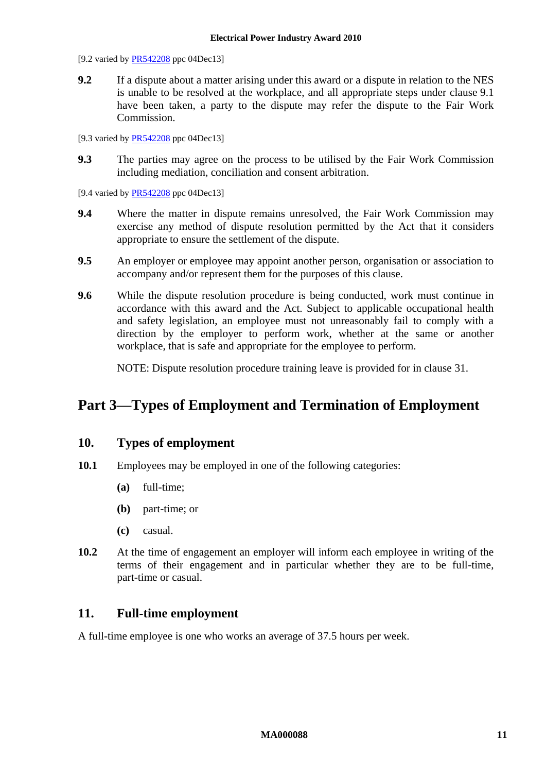[9.2 varied by [PR542208](http://www.fwc.gov.au/awardsandorders/html/PR542208.htm) ppc 04Dec13]

**9.2** If a dispute about a matter arising under this award or a dispute in relation to the NES is unable to be resolved at the workplace, and all appropriate steps under clause [9.1](#page-9-1) have been taken, a party to the dispute may refer the dispute to the Fair Work Commission.

[9.3 varied by [PR542208](http://www.fwc.gov.au/awardsandorders/html/PR542208.htm) ppc 04Dec13]

**9.3** The parties may agree on the process to be utilised by the Fair Work Commission including mediation, conciliation and consent arbitration.

[9.4 varied by **PR542208** ppc 04Dec13]

- **9.4** Where the matter in dispute remains unresolved, the Fair Work Commission may exercise any method of dispute resolution permitted by the Act that it considers appropriate to ensure the settlement of the dispute.
- **9.5** An employer or employee may appoint another person, organisation or association to accompany and/or represent them for the purposes of this clause.
- **9.6** While the dispute resolution procedure is being conducted, work must continue in accordance with this award and the Act. Subject to applicable occupational health and safety legislation, an employee must not unreasonably fail to comply with a direction by the employer to perform work, whether at the same or another workplace, that is safe and appropriate for the employee to perform.

NOTE: Dispute resolution procedure training leave is provided for in clause [31.](#page-33-0)

# <span id="page-10-1"></span><span id="page-10-0"></span>**Part 3—Types of Employment and Termination of Employment**

# **10. Types of employment**

- 10.1 Employees may be employed in one of the following categories:
	- **(a)** full-time;
	- **(b)** part-time; or
	- **(c)** casual.
- **10.2** At the time of engagement an employer will inform each employee in writing of the terms of their engagement and in particular whether they are to be full-time, part-time or casual.

# <span id="page-10-2"></span>**11. Full-time employment**

A full-time employee is one who works an average of 37.5 hours per week.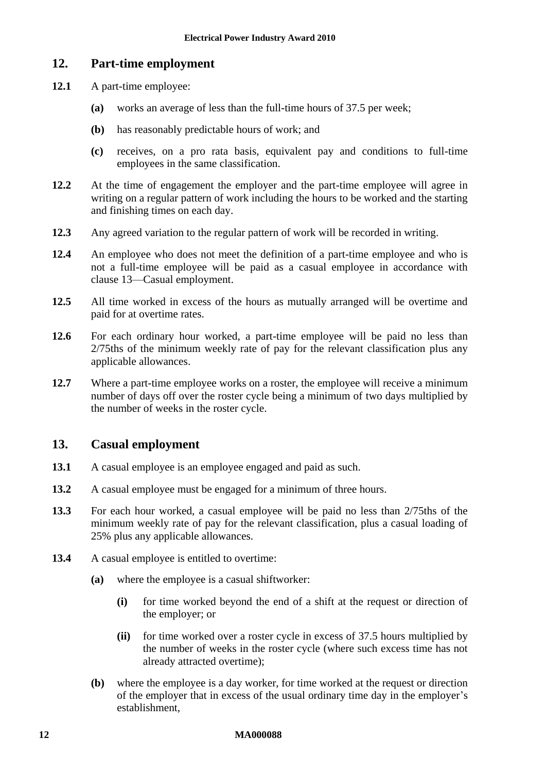# <span id="page-11-0"></span>**12. Part-time employment**

- **12.1** A part-time employee:
	- **(a)** works an average of less than the full-time hours of 37.5 per week;
	- **(b)** has reasonably predictable hours of work; and
	- **(c)** receives, on a pro rata basis, equivalent pay and conditions to full-time employees in the same classification.
- **12.2** At the time of engagement the employer and the part-time employee will agree in writing on a regular pattern of work including the hours to be worked and the starting and finishing times on each day.
- **12.3** Any agreed variation to the regular pattern of work will be recorded in writing.
- **12.4** An employee who does not meet the definition of a part-time employee and who is not a full-time employee will be paid as a casual employee in accordance with clause [13—Casual employment.](#page-11-1)
- **12.5** All time worked in excess of the hours as mutually arranged will be overtime and paid for at overtime rates.
- **12.6** For each ordinary hour worked, a part-time employee will be paid no less than 2/75ths of the minimum weekly rate of pay for the relevant classification plus any applicable allowances.
- **12.7** Where a part-time employee works on a roster, the employee will receive a minimum number of days off over the roster cycle being a minimum of two days multiplied by the number of weeks in the roster cycle.

# <span id="page-11-1"></span>**13. Casual employment**

- **13.1** A casual employee is an employee engaged and paid as such.
- **13.2** A casual employee must be engaged for a minimum of three hours.
- **13.3** For each hour worked, a casual employee will be paid no less than 2/75ths of the minimum weekly rate of pay for the relevant classification, plus a casual loading of 25% plus any applicable allowances.
- **13.4** A casual employee is entitled to overtime:
	- **(a)** where the employee is a casual shiftworker:
		- **(i)** for time worked beyond the end of a shift at the request or direction of the employer; or
		- **(ii)** for time worked over a roster cycle in excess of 37.5 hours multiplied by the number of weeks in the roster cycle (where such excess time has not already attracted overtime);
	- **(b)** where the employee is a day worker, for time worked at the request or direction of the employer that in excess of the usual ordinary time day in the employer's establishment,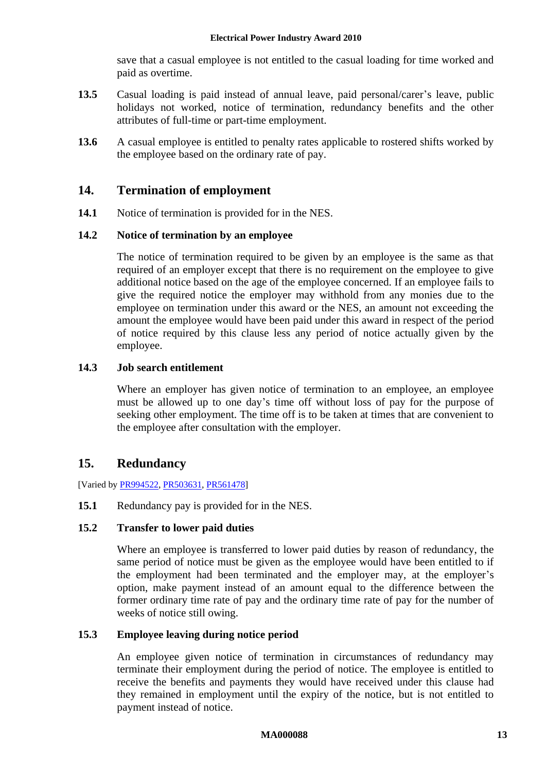save that a casual employee is not entitled to the casual loading for time worked and paid as overtime.

- **13.5** Casual loading is paid instead of annual leave, paid personal/carer's leave, public holidays not worked, notice of termination, redundancy benefits and the other attributes of full-time or part-time employment.
- **13.6** A casual employee is entitled to penalty rates applicable to rostered shifts worked by the employee based on the ordinary rate of pay.

# <span id="page-12-0"></span>**14. Termination of employment**

**14.1** Notice of termination is provided for in the NES.

### **14.2 Notice of termination by an employee**

The notice of termination required to be given by an employee is the same as that required of an employer except that there is no requirement on the employee to give additional notice based on the age of the employee concerned. If an employee fails to give the required notice the employer may withhold from any monies due to the employee on termination under this award or the NES, an amount not exceeding the amount the employee would have been paid under this award in respect of the period of notice required by this clause less any period of notice actually given by the employee.

# <span id="page-12-2"></span>**14.3 Job search entitlement**

Where an employer has given notice of termination to an employee, an employee must be allowed up to one day's time off without loss of pay for the purpose of seeking other employment. The time off is to be taken at times that are convenient to the employee after consultation with the employer.

# <span id="page-12-1"></span>**15. Redundancy**

[Varied b[y PR994522,](http://www.fwc.gov.au/awardsandorders/html/PR994522.htm) [PR503631,](http://www.fwc.gov.au/awardsandorders/html/PR503631.htm) [PR561478\]](http://www.fwc.gov.au/awardsandorders/html/PR561478.htm)

### **15.1** Redundancy pay is provided for in the NES.

### **15.2 Transfer to lower paid duties**

Where an employee is transferred to lower paid duties by reason of redundancy, the same period of notice must be given as the employee would have been entitled to if the employment had been terminated and the employer may, at the employer's option, make payment instead of an amount equal to the difference between the former ordinary time rate of pay and the ordinary time rate of pay for the number of weeks of notice still owing.

# **15.3 Employee leaving during notice period**

An employee given notice of termination in circumstances of redundancy may terminate their employment during the period of notice. The employee is entitled to receive the benefits and payments they would have received under this clause had they remained in employment until the expiry of the notice, but is not entitled to payment instead of notice.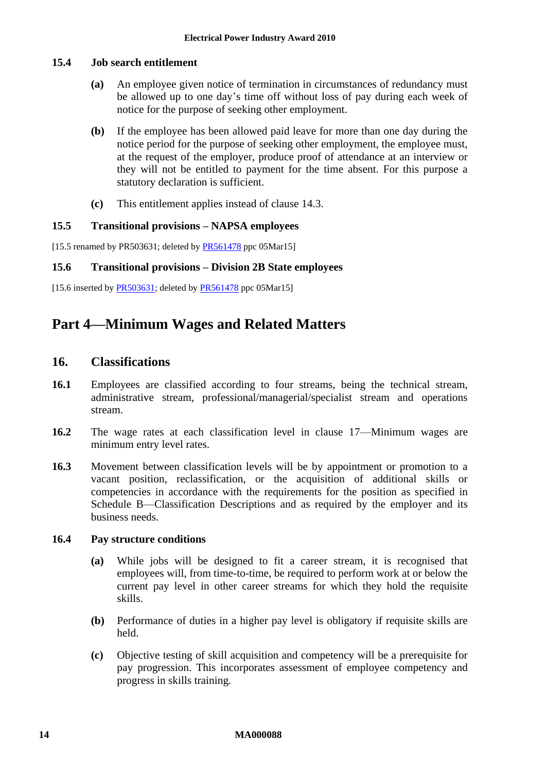### **15.4 Job search entitlement**

- **(a)** An employee given notice of termination in circumstances of redundancy must be allowed up to one day's time off without loss of pay during each week of notice for the purpose of seeking other employment.
- **(b)** If the employee has been allowed paid leave for more than one day during the notice period for the purpose of seeking other employment, the employee must, at the request of the employer, produce proof of attendance at an interview or they will not be entitled to payment for the time absent. For this purpose a statutory declaration is sufficient.
- **(c)** This entitlement applies instead of clause [14.3.](#page-12-2)

### **15.5 Transitional provisions – NAPSA employees**

[15.5 renamed by PR503631; deleted by [PR561478](http://www.fwc.gov.au/awardsandorders/html/PR561478.htm) ppc 05Mar15]

### **15.6 Transitional provisions – Division 2B State employees**

<span id="page-13-0"></span>[15.6 inserted by  $PR503631$ ; deleted by  $PR561478$  ppc 05Mar15]

# <span id="page-13-1"></span>**Part 4—Minimum Wages and Related Matters**

# **16. Classifications**

- **16.1** Employees are classified according to four streams, being the technical stream, administrative stream, professional/managerial/specialist stream and operations stream.
- **16.2** The wage rates at each classification level in clause [17—Minimum wages](#page-14-0) are minimum entry level rates.
- **16.3** Movement between classification levels will be by appointment or promotion to a vacant position, reclassification, or the acquisition of additional skills or competencies in accordance with the requirements for the position as specified in [Schedule B—Classification](#page-40-0) Descriptions and as required by the employer and its business needs.

### **16.4 Pay structure conditions**

- **(a)** While jobs will be designed to fit a career stream, it is recognised that employees will, from time-to-time, be required to perform work at or below the current pay level in other career streams for which they hold the requisite skills.
- **(b)** Performance of duties in a higher pay level is obligatory if requisite skills are held.
- **(c)** Objective testing of skill acquisition and competency will be a prerequisite for pay progression. This incorporates assessment of employee competency and progress in skills training.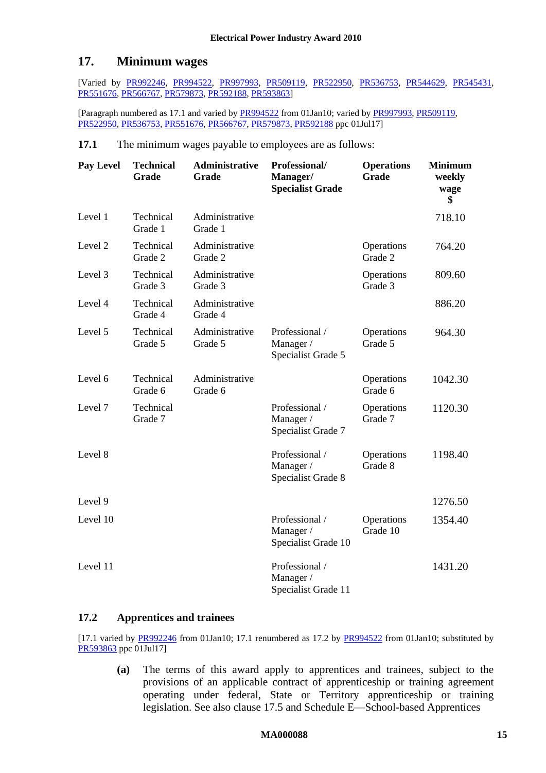# <span id="page-14-0"></span>**17. Minimum wages**

[Varied by [PR992246,](http://www.fwc.gov.au/alldocuments/PR992246.htm) [PR994522,](http://www.fwc.gov.au/awardsandorders/html/PR994522.htm) [PR997993,](http://www.fwc.gov.au/awardsandorders/html/PR997993.htm) [PR509119,](http://www.fwc.gov.au/awardsandorders/html/PR509119.htm) [PR522950,](http://www.fwc.gov.au/awardsandorders/html/PR522950.htm) [PR536753,](http://www.fwc.gov.au/awardsandorders/html/PR536753.htm) [PR544629,](http://www.fwc.gov.au/awardsandorders/html/PR544629.htm) [PR545431,](http://www.fwc.gov.au/awardsandorders/html/PR545431.htm) [PR551676,](http://www.fwc.gov.au/awardsandorders/html/PR551676.htm) [PR566767,](https://www.fwc.gov.au/awardsandorders/html/PR566767.htm) [PR579873,](http://www.fwc.gov.au/awardsandorders/html/PR579873.htm) [PR592188,](http://www.fwc.gov.au/awardsandorders/html/pr592188.htm) [PR593863\]](http://www.fwc.gov.au/awardsandorders/html/PR593863.htm)

[Paragraph numbered as 17.1 and varied b[y PR994522](http://www.fwc.gov.au/awardsandorders/html/PR994522.htm) from 01Jan10; varied by [PR997993,](http://www.fwc.gov.au/awardsandorders/html/PR997993.htm) [PR509119,](http://www.fwc.gov.au/awardsandorders/html/PR509119.htm) [PR522950,](http://www.fwc.gov.au/awardsandorders/html/PR522950.htm) [PR536753,](http://www.fwc.gov.au/awardsandorders/html/PR536753.htm) [PR551676,](http://www.fwc.gov.au/awardsandorders/html/PR551676.htm) [PR566767,](https://www.fwc.gov.au/awardsandorders/html/PR566767.htm) [PR579873,](http://www.fwc.gov.au/awardsandorders/html/PR579873.htm) [PR592188](http://www.fwc.gov.au/awardsandorders/html/pr592188.htm) ppc 01Jul17]

### **17.1** The minimum wages payable to employees are as follows:

| <b>Pay Level</b> | <b>Technical</b><br>Grade | Administrative<br>Grade   | Professional/<br>Manager/<br><b>Specialist Grade</b> | <b>Operations</b><br>Grade | <b>Minimum</b><br>weekly<br>wage<br>\$ |
|------------------|---------------------------|---------------------------|------------------------------------------------------|----------------------------|----------------------------------------|
| Level 1          | Technical<br>Grade 1      | Administrative<br>Grade 1 |                                                      |                            | 718.10                                 |
| Level 2          | Technical<br>Grade 2      | Administrative<br>Grade 2 |                                                      | Operations<br>Grade 2      | 764.20                                 |
| Level 3          | Technical<br>Grade 3      | Administrative<br>Grade 3 |                                                      | Operations<br>Grade 3      | 809.60                                 |
| Level 4          | Technical<br>Grade 4      | Administrative<br>Grade 4 |                                                      |                            | 886.20                                 |
| Level 5          | Technical<br>Grade 5      | Administrative<br>Grade 5 | Professional /<br>Manager /<br>Specialist Grade 5    | Operations<br>Grade 5      | 964.30                                 |
| Level 6          | Technical<br>Grade 6      | Administrative<br>Grade 6 |                                                      | Operations<br>Grade 6      | 1042.30                                |
| Level 7          | Technical<br>Grade 7      |                           | Professional /<br>Manager /<br>Specialist Grade 7    | Operations<br>Grade 7      | 1120.30                                |
| Level 8          |                           |                           | Professional /<br>Manager /<br>Specialist Grade 8    | Operations<br>Grade 8      | 1198.40                                |
| Level 9          |                           |                           |                                                      |                            | 1276.50                                |
| Level 10         |                           |                           | Professional /<br>Manager /<br>Specialist Grade 10   | Operations<br>Grade 10     | 1354.40                                |
| Level 11         |                           |                           | Professional /<br>Manager /<br>Specialist Grade 11   |                            | 1431.20                                |

### <span id="page-14-1"></span>**17.2 Apprentices and trainees**

[17.1 varied by [PR992246](http://www.fwc.gov.au/alldocuments/PR992246.htm) from 01Jan10; 17.1 renumbered as 17.2 by [PR994522](http://www.fwc.gov.au/awardsandorders/html/PR994522.htm) from 01Jan10; substituted by [PR593863](http://www.fwc.gov.au/awardsandorders/html/PR593863.htm) ppc 01Jul17]

**(a)** The terms of this award apply to apprentices and trainees, subject to the provisions of an applicable contract of apprenticeship or training agreement operating under federal, State or Territory apprenticeship or training legislation. See also clause [17.5](#page-17-1) and [Schedule E—School-based Apprentices](#page-52-0)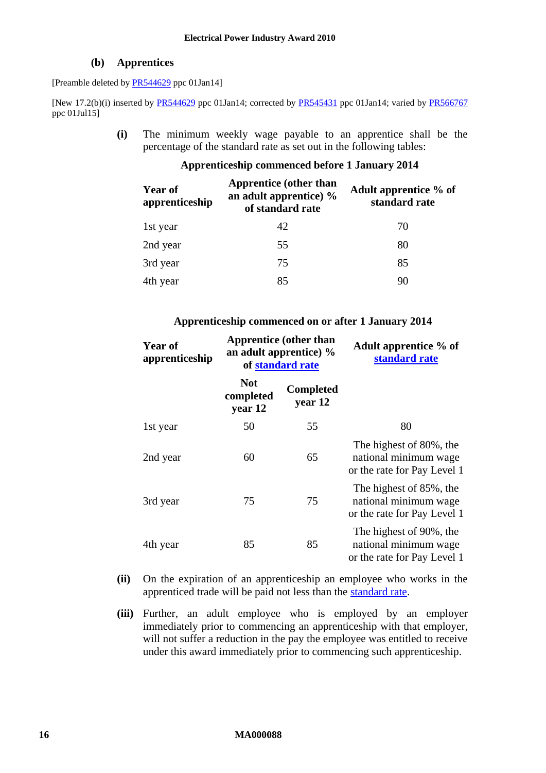### **(b) Apprentices**

[Preamble deleted by [PR544629](http://www.fwc.gov.au/awardsandorders/html/PR544629.htm) ppc 01Jan14]

[New 17.2(b)(i) inserted by [PR544629](http://www.fwc.gov.au/awardsandorders/html/PR544629.htm) ppc 01Jan14; corrected by [PR545431](http://www.fwc.gov.au/awardsandorders/html/PR545431.htm) ppc 01Jan14; varied by [PR566767](https://www.fwc.gov.au/awardsandorders/html/PR566767.htm) ppc 01Jul15]

> **(i)** The minimum weekly wage payable to an apprentice shall be the percentage of the standard rate as set out in the following tables:

### **Apprenticeship commenced before 1 January 2014**

| <b>Year of</b><br>apprenticeship | <b>Apprentice</b> (other than<br>an adult apprentice) %<br>of standard rate | Adult apprentice % of<br>standard rate |  |  |
|----------------------------------|-----------------------------------------------------------------------------|----------------------------------------|--|--|
| 1st year                         | 42                                                                          | 70                                     |  |  |
| 2nd year                         | 55                                                                          | 80                                     |  |  |
| 3rd year                         | 75                                                                          | 85                                     |  |  |
| 4th year                         | 85                                                                          | 90                                     |  |  |
|                                  |                                                                             |                                        |  |  |

### **Apprenticeship commenced on or after 1 January 2014**

| <b>Year of</b><br>apprenticeship | <b>Apprentice (other than</b><br>an adult apprentice) $\%$<br>of standard rate |                             | Adult apprentice % of<br>standard rate                                          |
|----------------------------------|--------------------------------------------------------------------------------|-----------------------------|---------------------------------------------------------------------------------|
|                                  | <b>Not</b><br>completed<br>year 12                                             | <b>Completed</b><br>year 12 |                                                                                 |
| 1st year                         | 50                                                                             | 55                          | 80                                                                              |
| 2nd year                         | 60                                                                             | 65                          | The highest of 80%, the<br>national minimum wage<br>or the rate for Pay Level 1 |
| 3rd year                         | 75                                                                             | 75                          | The highest of 85%, the<br>national minimum wage<br>or the rate for Pay Level 1 |
| 4th year                         | 85                                                                             | 85                          | The highest of 90%, the<br>national minimum wage<br>or the rate for Pay Level 1 |

- **(ii)** On the expiration of an apprenticeship an employee who works in the apprenticed trade will be paid not less than the [standard rate.](#page-4-0)
- **(iii)** Further, an adult employee who is employed by an employer immediately prior to commencing an apprenticeship with that employer, will not suffer a reduction in the pay the employee was entitled to receive under this award immediately prior to commencing such apprenticeship.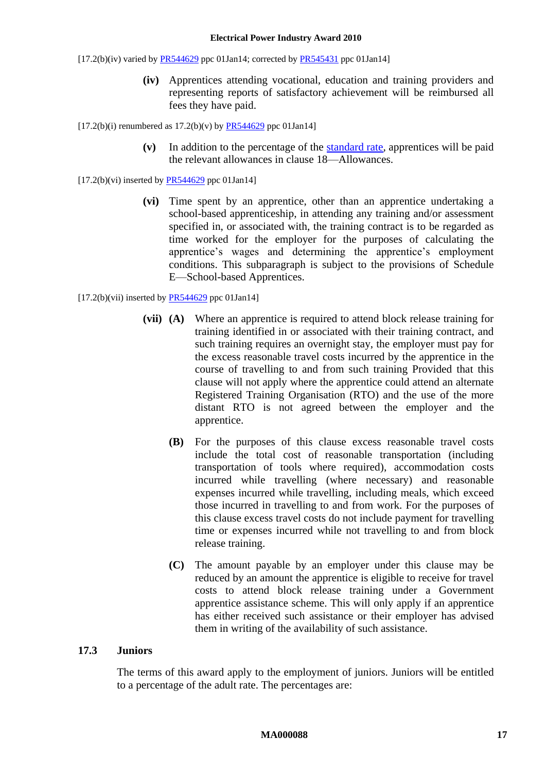#### **Electrical Power Industry Award 2010**

 $[17.2(b)(iv)$  varied b[y PR544629](http://www.fwc.gov.au/awardsandorders/html/PR544629.htm) ppc 01Jan14; corrected by [PR545431](http://www.fwc.gov.au/awardsandorders/html/PR545431.htm) ppc 01Jan14]

**(iv)** Apprentices attending vocational, education and training providers and representing reports of satisfactory achievement will be reimbursed all fees they have paid.

 $[17.2(b)(i)$  renumbered as  $17.2(b)(v)$  by [PR544629](http://www.fwc.gov.au/awardsandorders/html/PR544629.htm) ppc 01Jan14]

**(v)** In addition to the percentage of the [standard rate,](#page-4-0) apprentices will be paid the relevant allowances in clause [18—Allowances.](#page-17-0)

 $[17.2(b)(vi)$  inserted by [PR544629](http://www.fwc.gov.au/awardsandorders/html/PR544629.htm) ppc 01Jan14]

**(vi)** Time spent by an apprentice, other than an apprentice undertaking a school-based apprenticeship, in attending any training and/or assessment specified in, or associated with, the training contract is to be regarded as time worked for the employer for the purposes of calculating the apprentice's wages and determining the apprentice's employment conditions. This subparagraph is subject to the provisions of [Schedule](#page-52-0)  [E—School-based Apprentices.](#page-52-0)

 $[17.2(b)(vii)$  inserted by [PR544629](http://www.fwc.gov.au/awardsandorders/html/PR544629.htm) ppc 01Jan14]

- **(vii) (A)** Where an apprentice is required to attend block release training for training identified in or associated with their training contract, and such training requires an overnight stay, the employer must pay for the excess reasonable travel costs incurred by the apprentice in the course of travelling to and from such training Provided that this clause will not apply where the apprentice could attend an alternate Registered Training Organisation (RTO) and the use of the more distant RTO is not agreed between the employer and the apprentice.
	- **(B)** For the purposes of this clause excess reasonable travel costs include the total cost of reasonable transportation (including transportation of tools where required), accommodation costs incurred while travelling (where necessary) and reasonable expenses incurred while travelling, including meals, which exceed those incurred in travelling to and from work. For the purposes of this clause excess travel costs do not include payment for travelling time or expenses incurred while not travelling to and from block release training.
	- **(C)** The amount payable by an employer under this clause may be reduced by an amount the apprentice is eligible to receive for travel costs to attend block release training under a Government apprentice assistance scheme. This will only apply if an apprentice has either received such assistance or their employer has advised them in writing of the availability of such assistance.

### **17.3 Juniors**

The terms of this award apply to the employment of juniors. Juniors will be entitled to a percentage of the adult rate. The percentages are: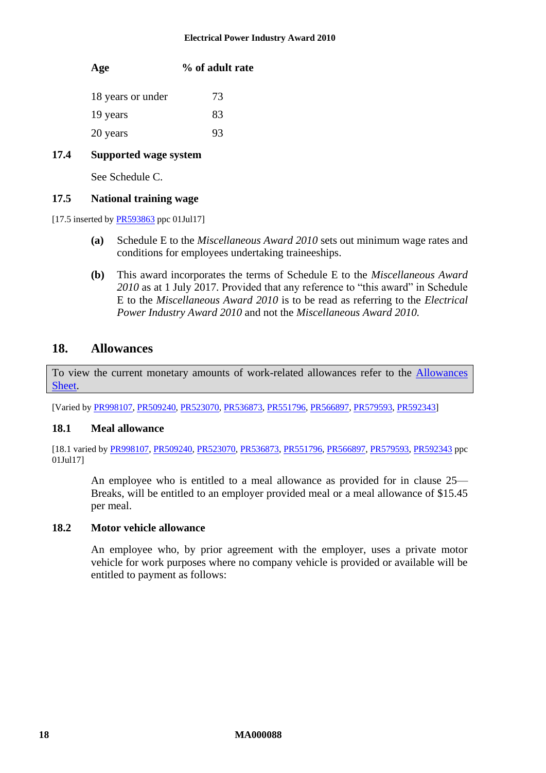### **Age % of adult rate**

| 18 years or under | 73 |
|-------------------|----|
| 19 years          | 83 |
| 20 years          | 93 |

### **17.4 Supported wage system**

See [Schedule C.](#page-48-0)

### <span id="page-17-1"></span>**17.5 National training wage**

[17.5 inserted b[y PR593863](http://www.fwc.gov.au/awardsandorders/html/PR593863.htm) ppc 01Jul17]

- **(a)** Schedule E to the *Miscellaneous Award 2010* sets out minimum wage rates and conditions for employees undertaking traineeships.
- **(b)** This award incorporates the terms of Schedule E to the *Miscellaneous Award 2010* as at 1 July 2017. Provided that any reference to "this award" in Schedule E to the *Miscellaneous Award 2010* is to be read as referring to the *Electrical Power Industry Award 2010* and not the *Miscellaneous Award 2010.*

# <span id="page-17-0"></span>**18. Allowances**

To view the current monetary amounts of work-related allowances refer to the [Allowances](http://www.fwc.gov.au/documents/documents/modern_awards/allowances/MA000088-all.pdf)  [Sheet.](http://www.fwc.gov.au/documents/documents/modern_awards/allowances/MA000088-all.pdf)

[Varied by [PR998107,](http://www.fwc.gov.au/awardsandorders/html/PR998107.htm) [PR509240,](http://www.fwc.gov.au/awardsandorders/html/PR509240.htm) [PR523070,](http://www.fwc.gov.au/awardsandorders/html/PR523070.htm) [PR536873,](http://www.fwc.gov.au/awardsandorders/html/PR536873.htm) [PR551796,](http://www.fwc.gov.au/awardsandorders/html/PR551796.htm) [PR566897,](http://www.fwc.gov.au/awardsandorders/html/PR566897.htm) [PR579593,](http://www.fwc.gov.au/awardsandorders/html/PR579593.htm) [PR592343\]](http://www.fwc.gov.au/awardsandorders/html/pr592343.htm)

### **18.1 Meal allowance**

[18.1 varied by [PR998107,](http://www.fwc.gov.au/awardsandorders/html/PR998107.htm) [PR509240,](http://www.fwc.gov.au/awardsandorders/html/PR509240.htm) [PR523070,](http://www.fwc.gov.au/awardsandorders/html/PR523070.htm) [PR536873,](http://www.fwc.gov.au/awardsandorders/html/PR536873.htm) [PR551796,](http://www.fwc.gov.au/awardsandorders/html/PR551796.htm) [PR566897,](http://www.fwc.gov.au/awardsandorders/html/PR566897.htm) [PR579593,](http://www.fwc.gov.au/awardsandorders/html/PR579593.htm) [PR592343](http://www.fwc.gov.au/awardsandorders/html/pr592343.htm) ppc 01Jul17]

An employee who is entitled to a meal allowance as provided for in clause [25—](#page-24-0) [Breaks,](#page-24-0) will be entitled to an employer provided meal or a meal allowance of \$15.45 per meal.

### **18.2 Motor vehicle allowance**

An employee who, by prior agreement with the employer, uses a private motor vehicle for work purposes where no company vehicle is provided or available will be entitled to payment as follows: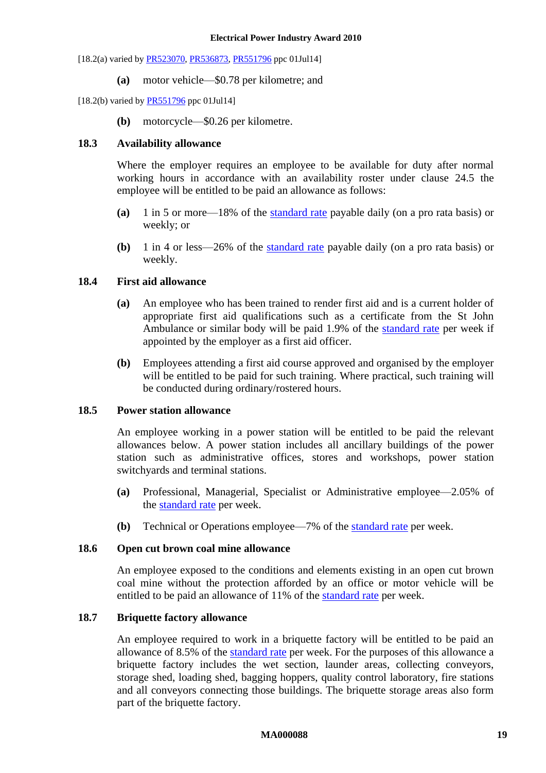[18.2(a) varied b[y PR523070,](http://www.fwc.gov.au/awardsandorders/html/PR523070.htm) [PR536873,](http://www.fwc.gov.au/awardsandorders/html/PR536873.htm) [PR551796](http://www.fwc.gov.au/awardsandorders/html/PR551796.htm) ppc 01Jul14]

**(a)** motor vehicle—\$0.78 per kilometre; and

[18.2(b) varied by **PR551796** ppc 01Jul14]

**(b)** motorcycle—\$0.26 per kilometre.

### <span id="page-18-0"></span>**18.3 Availability allowance**

Where the employer requires an employee to be available for duty after normal working hours in accordance with an availability roster under clause [24.5](#page-23-0) the employee will be entitled to be paid an allowance as follows:

- **(a)** 1 in 5 or more—18% of the [standard rate](#page-4-0) payable daily (on a pro rata basis) or weekly; or
- **(b)** 1 in 4 or less—26% of the [standard rate](#page-4-0) payable daily (on a pro rata basis) or weekly.

### **18.4 First aid allowance**

- **(a)** An employee who has been trained to render first aid and is a current holder of appropriate first aid qualifications such as a certificate from the St John Ambulance or similar body will be paid 1.9% of the [standard rate](#page-4-0) per week if appointed by the employer as a first aid officer.
- **(b)** Employees attending a first aid course approved and organised by the employer will be entitled to be paid for such training. Where practical, such training will be conducted during ordinary/rostered hours.

### **18.5 Power station allowance**

An employee working in a power station will be entitled to be paid the relevant allowances below. A power station includes all ancillary buildings of the power station such as administrative offices, stores and workshops, power station switchyards and terminal stations.

- **(a)** Professional, Managerial, Specialist or Administrative employee—2.05% of the [standard rate](#page-4-0) per week.
- **(b)** Technical or Operations employee—7% of the [standard rate](#page-4-0) per week.

### **18.6 Open cut brown coal mine allowance**

An employee exposed to the conditions and elements existing in an open cut brown coal mine without the protection afforded by an office or motor vehicle will be entitled to be paid an allowance of 11% of the [standard rate](#page-4-0) per week.

### **18.7 Briquette factory allowance**

An employee required to work in a briquette factory will be entitled to be paid an allowance of 8.5% of the [standard rate](#page-4-0) per week. For the purposes of this allowance a briquette factory includes the wet section, launder areas, collecting conveyors, storage shed, loading shed, bagging hoppers, quality control laboratory, fire stations and all conveyors connecting those buildings. The briquette storage areas also form part of the briquette factory.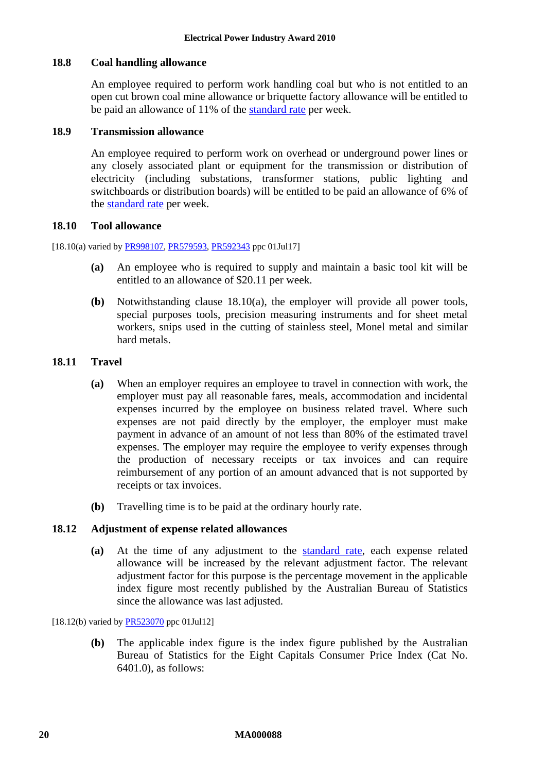### **18.8 Coal handling allowance**

An employee required to perform work handling coal but who is not entitled to an open cut brown coal mine allowance or briquette factory allowance will be entitled to be paid an allowance of 11% of the [standard rate](#page-4-0) per week.

### **18.9 Transmission allowance**

An employee required to perform work on overhead or underground power lines or any closely associated plant or equipment for the transmission or distribution of electricity (including substations, transformer stations, public lighting and switchboards or distribution boards) will be entitled to be paid an allowance of 6% of the [standard rate](#page-4-0) per week.

### **18.10 Tool allowance**

<span id="page-19-0"></span>[18.10(a) varied by [PR998107,](http://www.fwc.gov.au/awardsandorders/html/PR998107.htm) [PR579593,](http://www.fwc.gov.au/awardsandorders/html/PR579593.htm) [PR592343](http://www.fwc.gov.au/awardsandorders/html/pr592343.htm) ppc 01Jul17]

- **(a)** An employee who is required to supply and maintain a basic tool kit will be entitled to an allowance of \$20.11 per week.
- **(b)** Notwithstanding clause [18.10\(a\),](#page-19-0) the employer will provide all power tools, special purposes tools, precision measuring instruments and for sheet metal workers, snips used in the cutting of stainless steel, Monel metal and similar hard metals.

### **18.11 Travel**

- **(a)** When an employer requires an employee to travel in connection with work, the employer must pay all reasonable fares, meals, accommodation and incidental expenses incurred by the employee on business related travel. Where such expenses are not paid directly by the employer, the employer must make payment in advance of an amount of not less than 80% of the estimated travel expenses. The employer may require the employee to verify expenses through the production of necessary receipts or tax invoices and can require reimbursement of any portion of an amount advanced that is not supported by receipts or tax invoices.
- **(b)** Travelling time is to be paid at the ordinary hourly rate.

### **18.12 Adjustment of expense related allowances**

**(a)** At the time of any adjustment to the [standard rate,](#page-4-0) each expense related allowance will be increased by the relevant adjustment factor. The relevant adjustment factor for this purpose is the percentage movement in the applicable index figure most recently published by the Australian Bureau of Statistics since the allowance was last adjusted.

[18.12(b) varied b[y PR523070](http://www.fwc.gov.au/awardsandorders/html/PR523070.htm) ppc 01Jul12]

**(b)** The applicable index figure is the index figure published by the Australian Bureau of Statistics for the Eight Capitals Consumer Price Index (Cat No. 6401.0), as follows: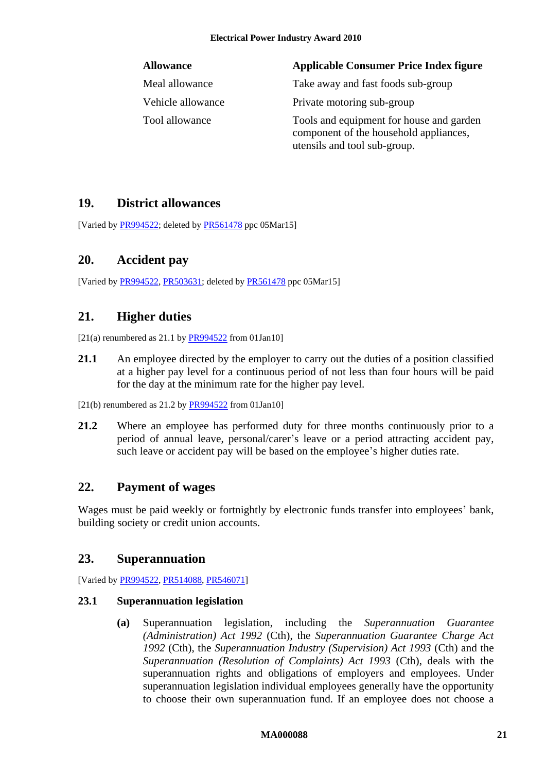# **Allowance Applicable Consumer Price Index figure**

Meal allowance Take away and fast foods sub-group

Vehicle allowance Private motoring sub-group

Tool allowance Tools and equipment for house and garden component of the household appliances, utensils and tool sub-group.

# <span id="page-20-0"></span>**19. District allowances**

<span id="page-20-1"></span>[Varied b[y PR994522;](http://www.fwc.gov.au/awardsandorders/html/PR994522.htm) deleted by [PR561478](http://www.fwc.gov.au/awardsandorders/html/PR561478.htm) ppc 05Mar15]

# **20. Accident pay**

<span id="page-20-2"></span>[Varied b[y PR994522,](http://www.fwc.gov.au/awardsandorders/html/PR994522.htm) [PR503631;](http://www.fwc.gov.au/awardsandorders/html/PR503631.htm) deleted by [PR561478](http://www.fwc.gov.au/awardsandorders/html/PR561478.htm) ppc 05Mar15]

# **21. Higher duties**

[21(a) renumbered as 21.1 by  $PR994522$  from 01Jan10]

21.1 An employee directed by the employer to carry out the duties of a position classified at a higher pay level for a continuous period of not less than four hours will be paid for the day at the minimum rate for the higher pay level.

 $[21(b)$  renumbered as 21.2 by [PR994522](http://www.fwc.gov.au/awardsandorders/html/PR994522.htm) from 01Jan10]

**21.2** Where an employee has performed duty for three months continuously prior to a period of annual leave, personal/carer's leave or a period attracting accident pay, such leave or accident pay will be based on the employee's higher duties rate.

# <span id="page-20-3"></span>**22. Payment of wages**

Wages must be paid weekly or fortnightly by electronic funds transfer into employees' bank, building society or credit union accounts.

# <span id="page-20-4"></span>**23. Superannuation**

[Varied b[y PR994522,](http://www.fwc.gov.au/awardsandorders/html/PR994522.htm) [PR514088,](http://www.fwc.gov.au/awardsandorders/html/PR514088.htm) [PR546071\]](http://www.fwc.gov.au/awardsandorders/html/PR546071.htm)

# **23.1 Superannuation legislation**

**(a)** Superannuation legislation, including the *Superannuation Guarantee (Administration) Act 1992* (Cth), the *Superannuation Guarantee Charge Act 1992* (Cth), the *Superannuation Industry (Supervision) Act 1993* (Cth) and the *Superannuation (Resolution of Complaints) Act 1993* (Cth), deals with the superannuation rights and obligations of employers and employees. Under superannuation legislation individual employees generally have the opportunity to choose their own superannuation fund. If an employee does not choose a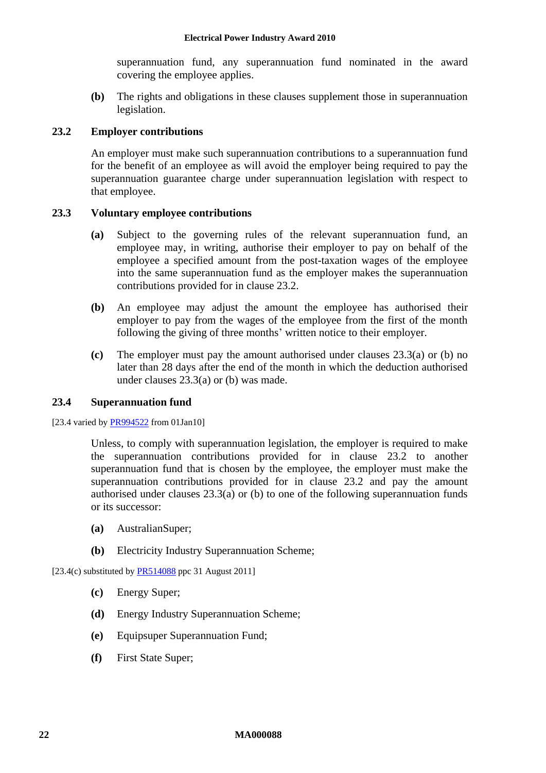superannuation fund, any superannuation fund nominated in the award covering the employee applies.

**(b)** The rights and obligations in these clauses supplement those in superannuation legislation.

### <span id="page-21-0"></span>**23.2 Employer contributions**

An employer must make such superannuation contributions to a superannuation fund for the benefit of an employee as will avoid the employer being required to pay the superannuation guarantee charge under superannuation legislation with respect to that employee.

### <span id="page-21-1"></span>**23.3 Voluntary employee contributions**

- **(a)** Subject to the governing rules of the relevant superannuation fund, an employee may, in writing, authorise their employer to pay on behalf of the employee a specified amount from the post-taxation wages of the employee into the same superannuation fund as the employer makes the superannuation contributions provided for in clause [23.2.](#page-21-0)
- <span id="page-21-2"></span>**(b)** An employee may adjust the amount the employee has authorised their employer to pay from the wages of the employee from the first of the month following the giving of three months' written notice to their employer.
- **(c)** The employer must pay the amount authorised under clauses [23.3\(a\)](#page-21-1) or [\(b\)](#page-21-2) no later than 28 days after the end of the month in which the deduction authorised under clauses [23.3\(a\)](#page-21-1) or [\(b\)](#page-21-2) was made.

### **23.4 Superannuation fund**

[23.4 varied by [PR994522](http://www.fwc.gov.au/awardsandorders/html/PR994522.htm) from 01Jan10]

Unless, to comply with superannuation legislation, the employer is required to make the superannuation contributions provided for in clause [23.2](#page-21-0) to another superannuation fund that is chosen by the employee, the employer must make the superannuation contributions provided for in clause [23.2](#page-21-0) and pay the amount authorised under clauses [23.3\(a\)](#page-21-1) or [\(b\)](#page-21-2) to one of the following superannuation funds or its successor:

- **(a)** AustralianSuper;
- **(b)** Electricity Industry Superannuation Scheme;

[23.4(c) substituted by  $PR514088$  ppc 31 August 2011]

- **(c)** Energy Super;
- **(d)** Energy Industry Superannuation Scheme;
- **(e)** Equipsuper Superannuation Fund;
- **(f)** First State Super;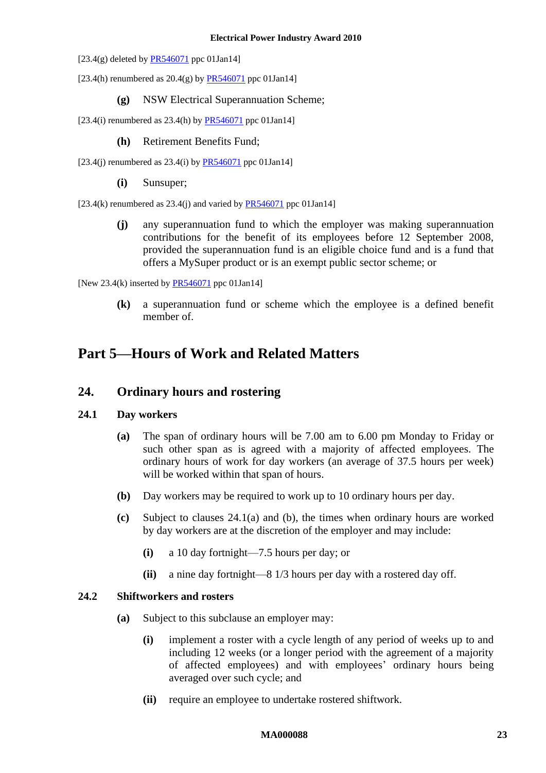#### **Electrical Power Industry Award 2010**

- [23.4(g) deleted by  $PR546071$  ppc 01Jan14]
- [23.4(h) renumbered as  $20.4(g)$  by  $PR546071$  ppc 01Jan14]
	- **(g)** NSW Electrical Superannuation Scheme;
- [23.4(i) renumbered as  $23.4(h)$  by  $PR546071$  ppc 01Jan14]
	- **(h)** Retirement Benefits Fund;
- [23.4(j) renumbered as  $23.4$ (j) by  $PR546071$  ppc 01Jan14]
	- **(i)** Sunsuper;

[ $23.4(k)$  renumbered as  $23.4(i)$  and varied b[y PR546071](http://www.fwc.gov.au/awardsandorders/html/PR546071.htm) ppc 01Jan14]

**(j)** any superannuation fund to which the employer was making superannuation contributions for the benefit of its employees before 12 September 2008, provided the superannuation fund is an eligible choice fund and is a fund that offers a MySuper product or is an exempt public sector scheme; or

[New 23.4(k) inserted by  $PR546071$  ppc 01Jan14]

**(k)** a superannuation fund or scheme which the employee is a defined benefit member of.

# <span id="page-22-1"></span><span id="page-22-0"></span>**Part 5—Hours of Work and Related Matters**

# **24. Ordinary hours and rostering**

### <span id="page-22-2"></span>**24.1 Day workers**

- **(a)** The span of ordinary hours will be 7.00 am to 6.00 pm Monday to Friday or such other span as is agreed with a majority of affected employees. The ordinary hours of work for day workers (an average of 37.5 hours per week) will be worked within that span of hours.
- <span id="page-22-3"></span>**(b)** Day workers may be required to work up to 10 ordinary hours per day.
- **(c)** Subject to clauses [24.1\(a\)](#page-22-2) and [\(b\),](#page-22-3) the times when ordinary hours are worked by day workers are at the discretion of the employer and may include:
	- **(i)** a 10 day fortnight—7.5 hours per day; or
	- **(ii)** a nine day fortnight—8 1/3 hours per day with a rostered day off.

### **24.2 Shiftworkers and rosters**

- **(a)** Subject to this subclause an employer may:
	- **(i)** implement a roster with a cycle length of any period of weeks up to and including 12 weeks (or a longer period with the agreement of a majority of affected employees) and with employees' ordinary hours being averaged over such cycle; and
	- **(ii)** require an employee to undertake rostered shiftwork.

### **MA000088 23**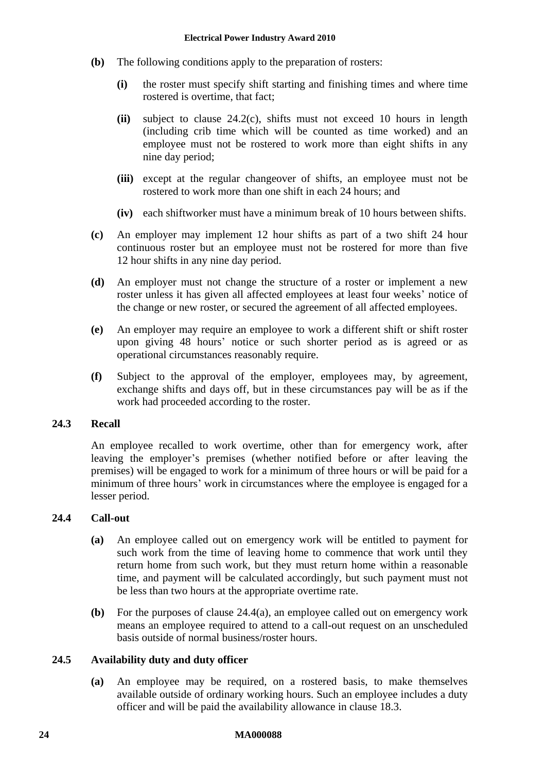- **(b)** The following conditions apply to the preparation of rosters:
	- **(i)** the roster must specify shift starting and finishing times and where time rostered is overtime, that fact;
	- **(ii)** subject to clause [24.2\(c\),](#page-23-1) shifts must not exceed 10 hours in length (including crib time which will be counted as time worked) and an employee must not be rostered to work more than eight shifts in any nine day period;
	- **(iii)** except at the regular changeover of shifts, an employee must not be rostered to work more than one shift in each 24 hours; and
	- **(iv)** each shiftworker must have a minimum break of 10 hours between shifts.
- <span id="page-23-1"></span>**(c)** An employer may implement 12 hour shifts as part of a two shift 24 hour continuous roster but an employee must not be rostered for more than five 12 hour shifts in any nine day period.
- **(d)** An employer must not change the structure of a roster or implement a new roster unless it has given all affected employees at least four weeks' notice of the change or new roster, or secured the agreement of all affected employees.
- **(e)** An employer may require an employee to work a different shift or shift roster upon giving 48 hours' notice or such shorter period as is agreed or as operational circumstances reasonably require.
- **(f)** Subject to the approval of the employer, employees may, by agreement, exchange shifts and days off, but in these circumstances pay will be as if the work had proceeded according to the roster.

# <span id="page-23-3"></span>**24.3 Recall**

An employee recalled to work overtime, other than for emergency work, after leaving the employer's premises (whether notified before or after leaving the premises) will be engaged to work for a minimum of three hours or will be paid for a minimum of three hours' work in circumstances where the employee is engaged for a lesser period.

### <span id="page-23-4"></span><span id="page-23-2"></span>**24.4 Call-out**

- **(a)** An employee called out on emergency work will be entitled to payment for such work from the time of leaving home to commence that work until they return home from such work, but they must return home within a reasonable time, and payment will be calculated accordingly, but such payment must not be less than two hours at the appropriate overtime rate.
- **(b)** For the purposes of clause [24.4\(a\),](#page-23-2) an employee called out on emergency work means an employee required to attend to a call-out request on an unscheduled basis outside of normal business/roster hours.

### <span id="page-23-0"></span>**24.5 Availability duty and duty officer**

**(a)** An employee may be required, on a rostered basis, to make themselves available outside of ordinary working hours. Such an employee includes a duty officer and will be paid the availability allowance in clause [18.3.](#page-18-0)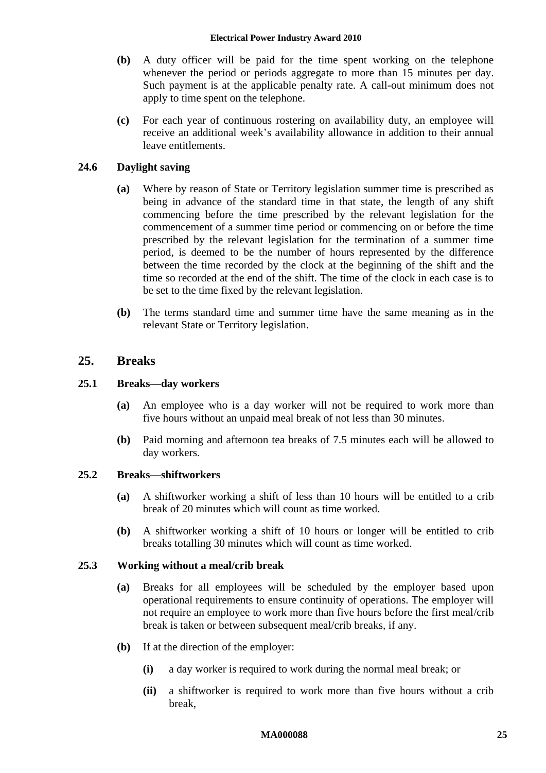### **Electrical Power Industry Award 2010**

- **(b)** A duty officer will be paid for the time spent working on the telephone whenever the period or periods aggregate to more than 15 minutes per day. Such payment is at the applicable penalty rate. A call-out minimum does not apply to time spent on the telephone.
- **(c)** For each year of continuous rostering on availability duty, an employee will receive an additional week's availability allowance in addition to their annual leave entitlements.

### **24.6 Daylight saving**

- **(a)** Where by reason of State or Territory legislation summer time is prescribed as being in advance of the standard time in that state, the length of any shift commencing before the time prescribed by the relevant legislation for the commencement of a summer time period or commencing on or before the time prescribed by the relevant legislation for the termination of a summer time period, is deemed to be the number of hours represented by the difference between the time recorded by the clock at the beginning of the shift and the time so recorded at the end of the shift. The time of the clock in each case is to be set to the time fixed by the relevant legislation.
- **(b)** The terms standard time and summer time have the same meaning as in the relevant State or Territory legislation.

### <span id="page-24-0"></span>**25. Breaks**

### **25.1 Breaks—day workers**

- **(a)** An employee who is a day worker will not be required to work more than five hours without an unpaid meal break of not less than 30 minutes.
- **(b)** Paid morning and afternoon tea breaks of 7.5 minutes each will be allowed to day workers.

### **25.2 Breaks—shiftworkers**

- **(a)** A shiftworker working a shift of less than 10 hours will be entitled to a crib break of 20 minutes which will count as time worked.
- **(b)** A shiftworker working a shift of 10 hours or longer will be entitled to crib breaks totalling 30 minutes which will count as time worked.

### **25.3 Working without a meal/crib break**

- **(a)** Breaks for all employees will be scheduled by the employer based upon operational requirements to ensure continuity of operations. The employer will not require an employee to work more than five hours before the first meal/crib break is taken or between subsequent meal/crib breaks, if any.
- **(b)** If at the direction of the employer:
	- **(i)** a day worker is required to work during the normal meal break; or
	- **(ii)** a shiftworker is required to work more than five hours without a crib break,

### **MA000088 25**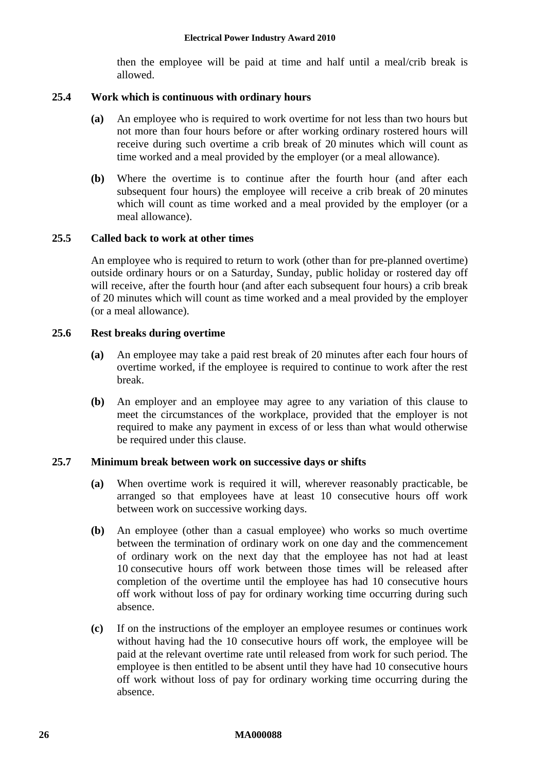then the employee will be paid at time and half until a meal/crib break is allowed.

### **25.4 Work which is continuous with ordinary hours**

- **(a)** An employee who is required to work overtime for not less than two hours but not more than four hours before or after working ordinary rostered hours will receive during such overtime a crib break of 20 minutes which will count as time worked and a meal provided by the employer (or a meal allowance).
- **(b)** Where the overtime is to continue after the fourth hour (and after each subsequent four hours) the employee will receive a crib break of 20 minutes which will count as time worked and a meal provided by the employer (or a meal allowance).

### **25.5 Called back to work at other times**

An employee who is required to return to work (other than for pre-planned overtime) outside ordinary hours or on a Saturday, Sunday, public holiday or rostered day off will receive, after the fourth hour (and after each subsequent four hours) a crib break of 20 minutes which will count as time worked and a meal provided by the employer (or a meal allowance).

### **25.6 Rest breaks during overtime**

- **(a)** An employee may take a paid rest break of 20 minutes after each four hours of overtime worked, if the employee is required to continue to work after the rest break.
- **(b)** An employer and an employee may agree to any variation of this clause to meet the circumstances of the workplace, provided that the employer is not required to make any payment in excess of or less than what would otherwise be required under this clause.

### **25.7 Minimum break between work on successive days or shifts**

- **(a)** When overtime work is required it will, wherever reasonably practicable, be arranged so that employees have at least 10 consecutive hours off work between work on successive working days.
- <span id="page-25-0"></span>**(b)** An employee (other than a casual employee) who works so much overtime between the termination of ordinary work on one day and the commencement of ordinary work on the next day that the employee has not had at least 10 consecutive hours off work between those times will be released after completion of the overtime until the employee has had 10 consecutive hours off work without loss of pay for ordinary working time occurring during such absence.
- <span id="page-25-1"></span>**(c)** If on the instructions of the employer an employee resumes or continues work without having had the 10 consecutive hours off work, the employee will be paid at the relevant overtime rate until released from work for such period. The employee is then entitled to be absent until they have had 10 consecutive hours off work without loss of pay for ordinary working time occurring during the absence.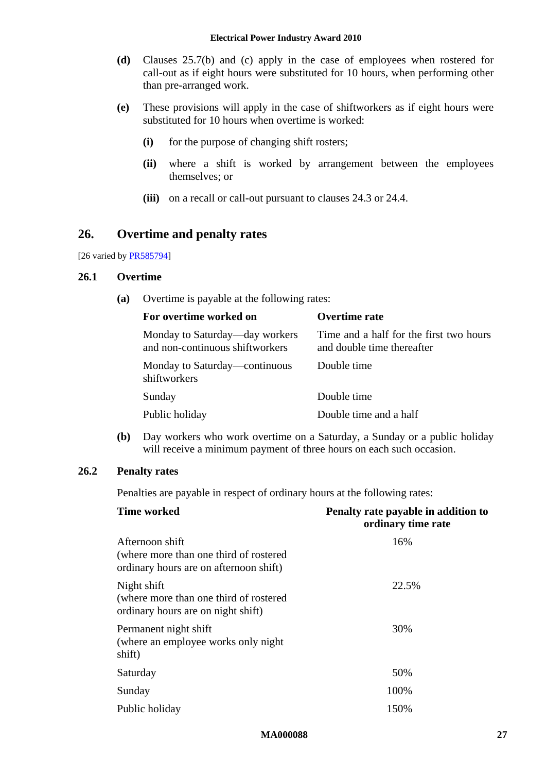- **(d)** Clauses [25.7\(b\)](#page-25-0) and [\(c\)](#page-25-1) apply in the case of employees when rostered for call-out as if eight hours were substituted for 10 hours, when performing other than pre-arranged work.
- **(e)** These provisions will apply in the case of shiftworkers as if eight hours were substituted for 10 hours when overtime is worked:
	- **(i)** for the purpose of changing shift rosters;
	- **(ii)** where a shift is worked by arrangement between the employees themselves; or
	- **(iii)** on a recall or call-out pursuant to clauses [24.3](#page-23-3) or [24.4.](#page-23-4)

# <span id="page-26-0"></span>**26. Overtime and penalty rates**

[26 varied by **PR585794**]

### **26.1 Overtime**

**(a)** Overtime is payable at the following rates:

| For overtime worked on                                            | <b>Overtime rate</b>                                                  |
|-------------------------------------------------------------------|-----------------------------------------------------------------------|
| Monday to Saturday—day workers<br>and non-continuous shiftworkers | Time and a half for the first two hours<br>and double time thereafter |
| Monday to Saturday—continuous<br>shiftworkers                     | Double time                                                           |
| Sunday                                                            | Double time                                                           |
| Public holiday                                                    | Double time and a half                                                |

**(b)** Day workers who work overtime on a Saturday, a Sunday or a public holiday will receive a minimum payment of three hours on each such occasion.

# **26.2 Penalty rates**

Penalties are payable in respect of ordinary hours at the following rates:

| <b>Time worked</b>                                                                                   | Penalty rate payable in addition to<br>ordinary time rate |  |  |
|------------------------------------------------------------------------------------------------------|-----------------------------------------------------------|--|--|
| Afternoon shift<br>(where more than one third of rostered)<br>ordinary hours are on afternoon shift) | 16%                                                       |  |  |
| Night shift<br>(where more than one third of rostered)<br>ordinary hours are on night shift)         | 22.5%                                                     |  |  |
| Permanent night shift<br>(where an employee works only night)<br>shift)                              | 30%                                                       |  |  |
| Saturday                                                                                             | 50%                                                       |  |  |
| Sunday                                                                                               | 100%                                                      |  |  |
| Public holiday                                                                                       | 150%                                                      |  |  |

### **MA000088 27**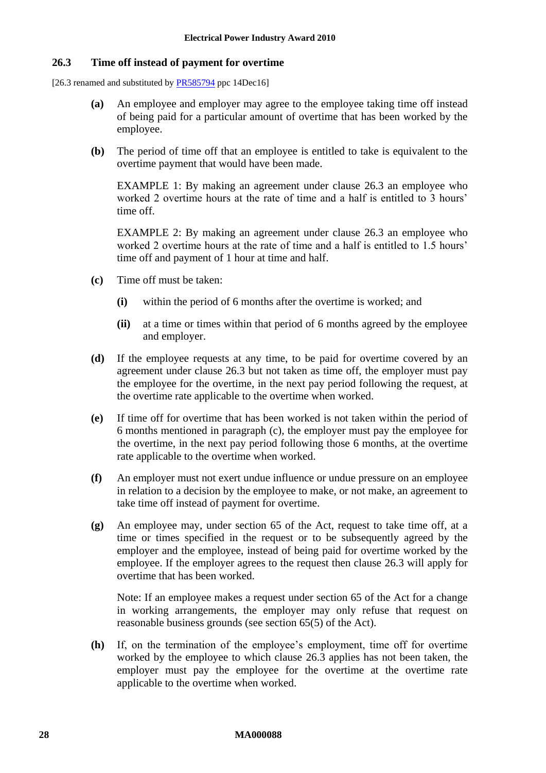### <span id="page-27-0"></span>**26.3 Time off instead of payment for overtime**

[26.3 renamed and substituted by [PR585794](https://www.fwc.gov.au/documents/awardsandorders/html/pr585794.htm) ppc 14Dec16]

- **(a)** An employee and employer may agree to the employee taking time off instead of being paid for a particular amount of overtime that has been worked by the employee.
- **(b)** The period of time off that an employee is entitled to take is equivalent to the overtime payment that would have been made.

EXAMPLE 1: By making an agreement under clause [26.3](#page-27-0) an employee who worked 2 overtime hours at the rate of time and a half is entitled to 3 hours' time off.

EXAMPLE 2: By making an agreement under clause [26.3](#page-27-0) an employee who worked 2 overtime hours at the rate of time and a half is entitled to 1.5 hours' time off and payment of 1 hour at time and half.

- <span id="page-27-1"></span>**(c)** Time off must be taken:
	- **(i)** within the period of 6 months after the overtime is worked; and
	- **(ii)** at a time or times within that period of 6 months agreed by the employee and employer.
- **(d)** If the employee requests at any time, to be paid for overtime covered by an agreement under clause [26.3](#page-27-0) but not taken as time off, the employer must pay the employee for the overtime, in the next pay period following the request, at the overtime rate applicable to the overtime when worked.
- **(e)** If time off for overtime that has been worked is not taken within the period of 6 months mentioned in paragraph [\(c\),](#page-27-1) the employer must pay the employee for the overtime, in the next pay period following those 6 months, at the overtime rate applicable to the overtime when worked.
- **(f)** An employer must not exert undue influence or undue pressure on an employee in relation to a decision by the employee to make, or not make, an agreement to take time off instead of payment for overtime.
- **(g)** An employee may, under section 65 of the Act, request to take time off, at a time or times specified in the request or to be subsequently agreed by the employer and the employee, instead of being paid for overtime worked by the employee. If the employer agrees to the request then clause [26.3](#page-27-0) will apply for overtime that has been worked.

Note: If an employee makes a request under section 65 of the Act for a change in working arrangements, the employer may only refuse that request on reasonable business grounds (see section 65(5) of the Act).

**(h)** If, on the termination of the employee's employment, time off for overtime worked by the employee to which clause [26.3](#page-27-0) applies has not been taken, the employer must pay the employee for the overtime at the overtime rate applicable to the overtime when worked.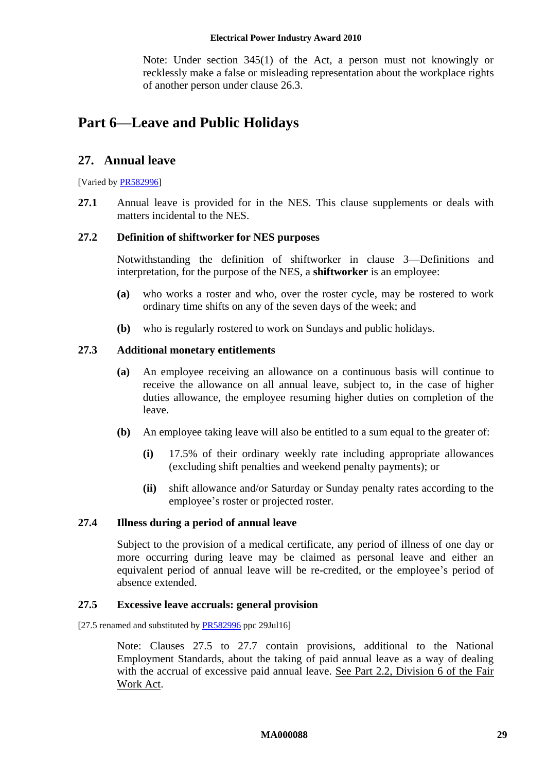### **Electrical Power Industry Award 2010**

Note: Under section 345(1) of the Act, a person must not knowingly or recklessly make a false or misleading representation about the workplace rights of another person under clause [26.3.](#page-27-0)

# <span id="page-28-1"></span><span id="page-28-0"></span>**Part 6—Leave and Public Holidays**

# **27. Annual leave**

[Varied b[y PR582996\]](http://www.fwc.gov.au/awardsandorders/html/PR582996.htm)

**27.1** Annual leave is provided for in the NES. This clause supplements or deals with matters incidental to the NES.

### <span id="page-28-2"></span>**27.2 Definition of shiftworker for NES purposes**

Notwithstanding the definition of shiftworker in clause [3—Definitions and](#page-3-0)  [interpretation,](#page-3-0) for the purpose of the NES, a **shiftworker** is an employee:

- **(a)** who works a roster and who, over the roster cycle, may be rostered to work ordinary time shifts on any of the seven days of the week; and
- **(b)** who is regularly rostered to work on Sundays and public holidays.

### **27.3 Additional monetary entitlements**

- **(a)** An employee receiving an allowance on a continuous basis will continue to receive the allowance on all annual leave, subject to, in the case of higher duties allowance, the employee resuming higher duties on completion of the leave.
- **(b)** An employee taking leave will also be entitled to a sum equal to the greater of:
	- **(i)** 17.5% of their ordinary weekly rate including appropriate allowances (excluding shift penalties and weekend penalty payments); or
	- **(ii)** shift allowance and/or Saturday or Sunday penalty rates according to the employee's roster or projected roster.

### **27.4 Illness during a period of annual leave**

Subject to the provision of a medical certificate, any period of illness of one day or more occurring during leave may be claimed as personal leave and either an equivalent period of annual leave will be re-credited, or the employee's period of absence extended.

### <span id="page-28-3"></span>**27.5 Excessive leave accruals: general provision**

[27.5 renamed and substituted by **PR582996** ppc 29Jul16]

Note: Clauses [27.5](#page-28-3) to [27.7](#page-30-0) contain provisions, additional to the National Employment Standards, about the taking of paid annual leave as a way of dealing with the accrual of excessive paid annual leave. See Part 2.2, Division 6 of the Fair Work Act.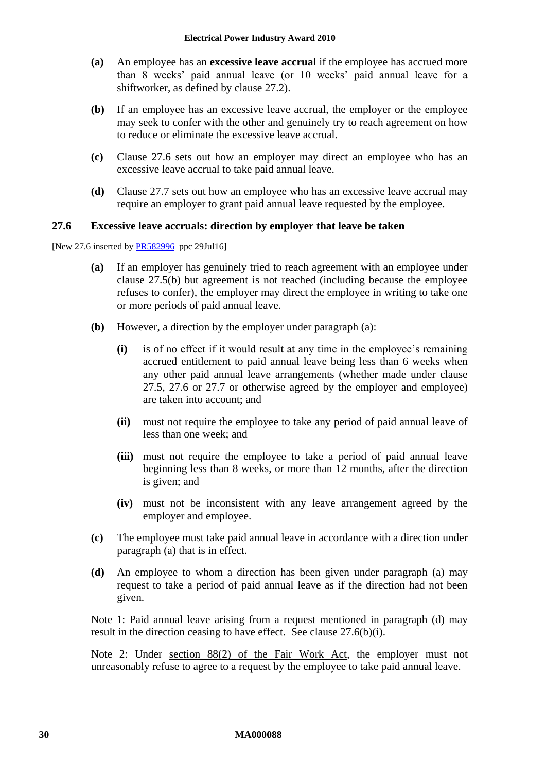- **(a)** An employee has an **excessive leave accrual** if the employee has accrued more than 8 weeks' paid annual leave (or 10 weeks' paid annual leave for a shiftworker, as defined by clause [27.2\)](#page-28-2).
- <span id="page-29-1"></span>**(b)** If an employee has an excessive leave accrual, the employer or the employee may seek to confer with the other and genuinely try to reach agreement on how to reduce or eliminate the excessive leave accrual.
- **(c)** Clause [27.6](#page-29-0) sets out how an employer may direct an employee who has an excessive leave accrual to take paid annual leave.
- **(d)** Clause [27.7](#page-30-0) sets out how an employee who has an excessive leave accrual may require an employer to grant paid annual leave requested by the employee.

### <span id="page-29-0"></span>**27.6 Excessive leave accruals: direction by employer that leave be taken**

<span id="page-29-2"></span>[New 27.6 inserted by [PR582996](http://www.fwc.gov.au/awardsandorders/html/PR582996.htm) ppc 29Jul16]

- **(a)** If an employer has genuinely tried to reach agreement with an employee under clause [27.5\(b\)](#page-29-1) but agreement is not reached (including because the employee refuses to confer), the employer may direct the employee in writing to take one or more periods of paid annual leave.
- <span id="page-29-4"></span>**(b)** However, a direction by the employer under paragraph [\(a\):](#page-29-2)
	- **(i)** is of no effect if it would result at any time in the employee's remaining accrued entitlement to paid annual leave being less than 6 weeks when any other paid annual leave arrangements (whether made under clause [27.5,](#page-28-3) [27.6](#page-29-0) or [27.7](#page-30-0) or otherwise agreed by the employer and employee) are taken into account; and
	- **(ii)** must not require the employee to take any period of paid annual leave of less than one week; and
	- **(iii)** must not require the employee to take a period of paid annual leave beginning less than 8 weeks, or more than 12 months, after the direction is given; and
	- **(iv)** must not be inconsistent with any leave arrangement agreed by the employer and employee.
- **(c)** The employee must take paid annual leave in accordance with a direction under paragraph [\(a\)](#page-29-2) that is in effect.
- <span id="page-29-3"></span>**(d)** An employee to whom a direction has been given under paragraph [\(a\)](#page-29-2) may request to take a period of paid annual leave as if the direction had not been given.

Note 1: Paid annual leave arising from a request mentioned in paragraph [\(d\)](#page-29-3) may result in the direction ceasing to have effect. See clause [27.6\(b\)\(i\).](#page-29-4)

Note 2: Under section 88(2) of the Fair Work Act, the employer must not unreasonably refuse to agree to a request by the employee to take paid annual leave.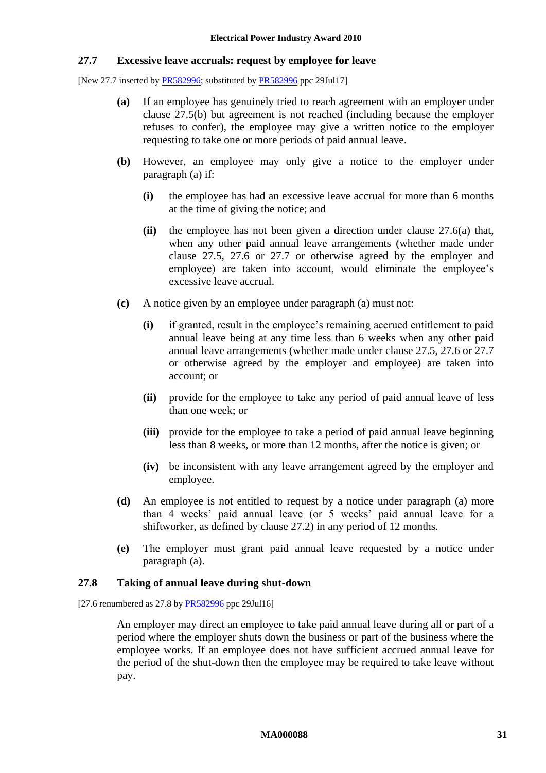### <span id="page-30-0"></span>**27.7 Excessive leave accruals: request by employee for leave**

<span id="page-30-1"></span>[New 27.7 inserted b[y PR582996;](http://www.fwc.gov.au/awardsandorders/html/PR582996.htm) substituted by [PR582996](http://www.fwc.gov.au/awardsandorders/html/PR582996.htm) ppc 29Jul17]

- **(a)** If an employee has genuinely tried to reach agreement with an employer under clause [27.5\(b\)](#page-29-1) but agreement is not reached (including because the employer refuses to confer), the employee may give a written notice to the employer requesting to take one or more periods of paid annual leave.
- **(b)** However, an employee may only give a notice to the employer under paragraph [\(a\)](#page-30-1) if:
	- **(i)** the employee has had an excessive leave accrual for more than 6 months at the time of giving the notice; and
	- **(ii)** the employee has not been given a direction under clause [27.6\(a\)](#page-29-2) that, when any other paid annual leave arrangements (whether made under clause [27.5,](#page-28-3) [27.6](#page-29-0) or [27.7](#page-30-0) or otherwise agreed by the employer and employee) are taken into account, would eliminate the employee's excessive leave accrual.
- **(c)** A notice given by an employee under paragraph [\(a\)](#page-30-1) must not:
	- **(i)** if granted, result in the employee's remaining accrued entitlement to paid annual leave being at any time less than 6 weeks when any other paid annual leave arrangements (whether made under clause [27.5,](#page-28-3) [27.6](#page-29-0) or [27.7](#page-30-0) or otherwise agreed by the employer and employee) are taken into account; or
	- **(ii)** provide for the employee to take any period of paid annual leave of less than one week; or
	- **(iii)** provide for the employee to take a period of paid annual leave beginning less than 8 weeks, or more than 12 months, after the notice is given; or
	- **(iv)** be inconsistent with any leave arrangement agreed by the employer and employee.
- **(d)** An employee is not entitled to request by a notice under paragraph [\(a\)](#page-30-1) more than 4 weeks' paid annual leave (or 5 weeks' paid annual leave for a shiftworker, as defined by clause [27.2\)](#page-28-2) in any period of 12 months.
- **(e)** The employer must grant paid annual leave requested by a notice under paragraph [\(a\).](#page-30-1)

### **27.8 Taking of annual leave during shut-down**

[27.6 renumbered as 27.8 by [PR582996](http://www.fwc.gov.au/awardsandorders/html/PR582996.htm) ppc 29Jul16]

An employer may direct an employee to take paid annual leave during all or part of a period where the employer shuts down the business or part of the business where the employee works. If an employee does not have sufficient accrued annual leave for the period of the shut-down then the employee may be required to take leave without pay.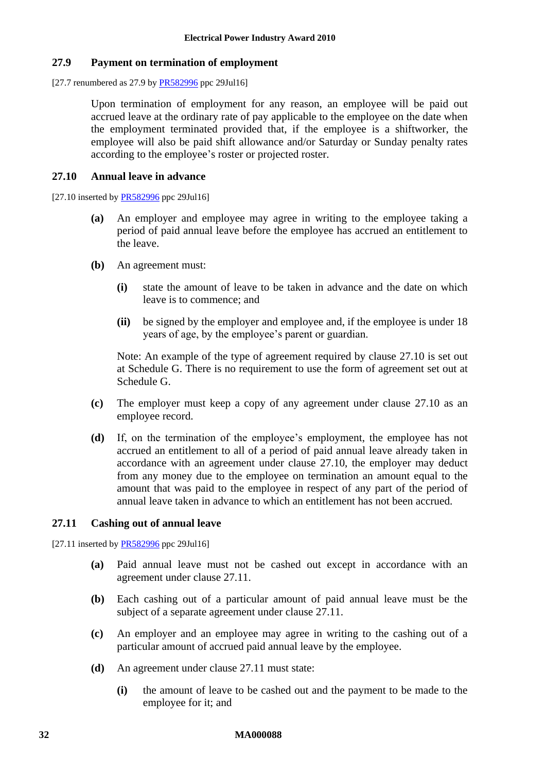### **27.9 Payment on termination of employment**

[27.7 renumbered as 27.9 b[y PR582996](http://www.fwc.gov.au/awardsandorders/html/PR582996.htm) ppc 29Jul16]

Upon termination of employment for any reason, an employee will be paid out accrued leave at the ordinary rate of pay applicable to the employee on the date when the employment terminated provided that, if the employee is a shiftworker, the employee will also be paid shift allowance and/or Saturday or Sunday penalty rates according to the employee's roster or projected roster.

### <span id="page-31-0"></span>**27.10 Annual leave in advance**

[27.10 inserted b[y PR582996](http://www.fwc.gov.au/awardsandorders/html/PR582996.htm) ppc 29Jul16]

- **(a)** An employer and employee may agree in writing to the employee taking a period of paid annual leave before the employee has accrued an entitlement to the leave.
- **(b)** An agreement must:
	- **(i)** state the amount of leave to be taken in advance and the date on which leave is to commence; and
	- **(ii)** be signed by the employer and employee and, if the employee is under 18 years of age, by the employee's parent or guardian.

Note: An example of the type of agreement required by clause [27.10](#page-31-0) is set out at [Schedule G.](#page-54-0) There is no requirement to use the form of agreement set out at [Schedule G.](#page-54-0)

- **(c)** The employer must keep a copy of any agreement under clause [27.10](#page-31-0) as an employee record.
- **(d)** If, on the termination of the employee's employment, the employee has not accrued an entitlement to all of a period of paid annual leave already taken in accordance with an agreement under clause [27.10,](#page-31-0) the employer may deduct from any money due to the employee on termination an amount equal to the amount that was paid to the employee in respect of any part of the period of annual leave taken in advance to which an entitlement has not been accrued.

### <span id="page-31-1"></span>**27.11 Cashing out of annual leave**

[27.11 inserted b[y PR582996](http://www.fwc.gov.au/awardsandorders/html/PR582996.htm) ppc 29Jul16]

- **(a)** Paid annual leave must not be cashed out except in accordance with an agreement under clause [27.11.](#page-31-1)
- **(b)** Each cashing out of a particular amount of paid annual leave must be the subject of a separate agreement under clause [27.11.](#page-31-1)
- **(c)** An employer and an employee may agree in writing to the cashing out of a particular amount of accrued paid annual leave by the employee.
- **(d)** An agreement under clause [27.11](#page-31-1) must state:
	- **(i)** the amount of leave to be cashed out and the payment to be made to the employee for it; and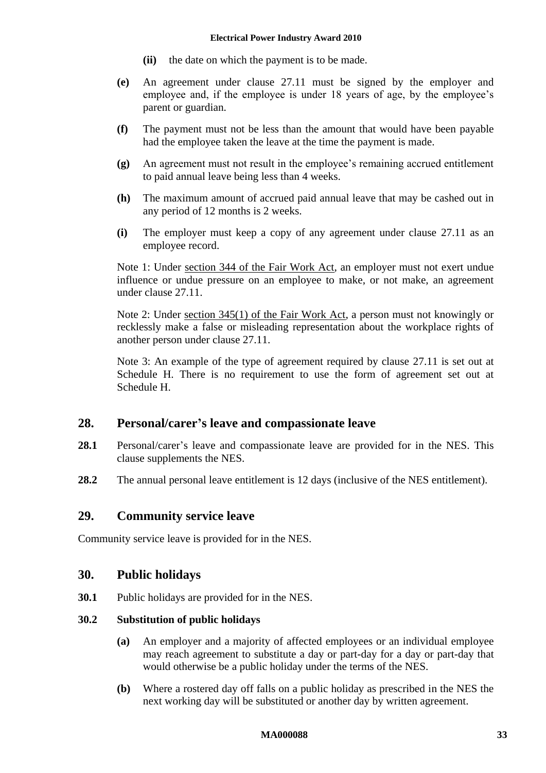### **Electrical Power Industry Award 2010**

- **(ii)** the date on which the payment is to be made.
- **(e)** An agreement under clause [27.11](#page-31-1) must be signed by the employer and employee and, if the employee is under 18 years of age, by the employee's parent or guardian.
- **(f)** The payment must not be less than the amount that would have been payable had the employee taken the leave at the time the payment is made.
- **(g)** An agreement must not result in the employee's remaining accrued entitlement to paid annual leave being less than 4 weeks.
- **(h)** The maximum amount of accrued paid annual leave that may be cashed out in any period of 12 months is 2 weeks.
- **(i)** The employer must keep a copy of any agreement under clause [27.11](#page-31-1) as an employee record.

Note 1: Under section 344 of the Fair Work Act, an employer must not exert undue influence or undue pressure on an employee to make, or not make, an agreement under clause [27.11.](#page-31-1)

Note 2: Under section 345(1) of the Fair Work Act, a person must not knowingly or recklessly make a false or misleading representation about the workplace rights of another person under clause [27.11.](#page-31-1)

Note 3: An example of the type of agreement required by clause [27.11](#page-31-1) is set out at [Schedule H.](#page-55-0) There is no requirement to use the form of agreement set out at [Schedule H.](#page-55-0)

# <span id="page-32-0"></span>**28. Personal/carer's leave and compassionate leave**

- **28.1** Personal/carer's leave and compassionate leave are provided for in the NES. This clause supplements the NES.
- <span id="page-32-1"></span>**28.2** The annual personal leave entitlement is 12 days (inclusive of the NES entitlement).

# **29. Community service leave**

<span id="page-32-2"></span>Community service leave is provided for in the NES.

# **30. Public holidays**

**30.1** Public holidays are provided for in the NES.

### **30.2 Substitution of public holidays**

- **(a)** An employer and a majority of affected employees or an individual employee may reach agreement to substitute a day or part-day for a day or part-day that would otherwise be a public holiday under the terms of the NES.
- **(b)** Where a rostered day off falls on a public holiday as prescribed in the NES the next working day will be substituted or another day by written agreement.

### **MA000088 33**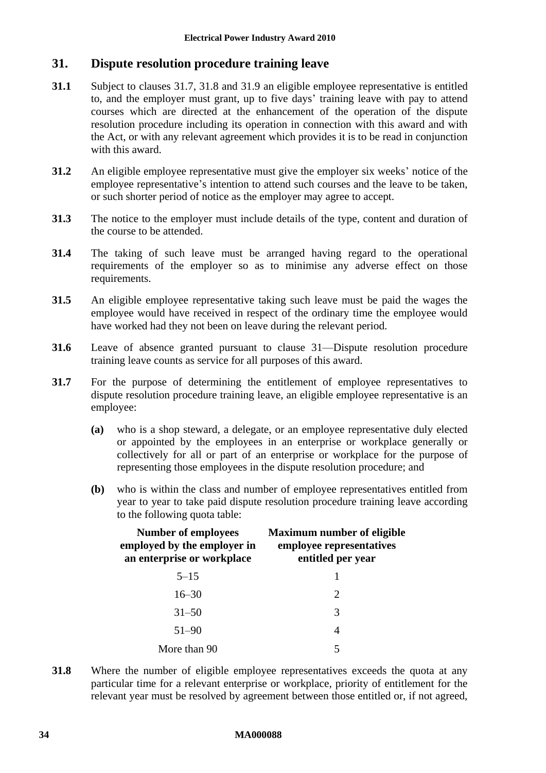# <span id="page-33-0"></span>**31. Dispute resolution procedure training leave**

- **31.1** Subject to clauses [31.7,](#page-33-1) [31.8](#page-33-2) and [31.9](#page-34-0) an eligible employee representative is entitled to, and the employer must grant, up to five days' training leave with pay to attend courses which are directed at the enhancement of the operation of the dispute resolution procedure including its operation in connection with this award and with the Act, or with any relevant agreement which provides it is to be read in conjunction with this award.
- **31.2** An eligible employee representative must give the employer six weeks' notice of the employee representative's intention to attend such courses and the leave to be taken, or such shorter period of notice as the employer may agree to accept.
- **31.3** The notice to the employer must include details of the type, content and duration of the course to be attended.
- **31.4** The taking of such leave must be arranged having regard to the operational requirements of the employer so as to minimise any adverse effect on those requirements.
- **31.5** An eligible employee representative taking such leave must be paid the wages the employee would have received in respect of the ordinary time the employee would have worked had they not been on leave during the relevant period.
- **31.6** Leave of absence granted pursuant to clause [31—Dispute resolution procedure](#page-33-0)  [training leave](#page-33-0) counts as service for all purposes of this award.
- <span id="page-33-1"></span>**31.7** For the purpose of determining the entitlement of employee representatives to dispute resolution procedure training leave, an eligible employee representative is an employee:
	- **(a)** who is a shop steward, a delegate, or an employee representative duly elected or appointed by the employees in an enterprise or workplace generally or collectively for all or part of an enterprise or workplace for the purpose of representing those employees in the dispute resolution procedure; and
	- **(b)** who is within the class and number of employee representatives entitled from year to year to take paid dispute resolution procedure training leave according to the following quota table:

| <b>Number of employees</b><br>employed by the employer in<br>an enterprise or workplace | <b>Maximum number of eligible</b><br>employee representatives<br>entitled per year |  |  |
|-----------------------------------------------------------------------------------------|------------------------------------------------------------------------------------|--|--|
| $5 - 15$                                                                                |                                                                                    |  |  |
| $16 - 30$                                                                               | 2                                                                                  |  |  |
| $31 - 50$                                                                               | 3                                                                                  |  |  |
| 51-90                                                                                   | 4                                                                                  |  |  |
| More than 90                                                                            | 5                                                                                  |  |  |

<span id="page-33-2"></span>**31.8** Where the number of eligible employee representatives exceeds the quota at any particular time for a relevant enterprise or workplace, priority of entitlement for the relevant year must be resolved by agreement between those entitled or, if not agreed,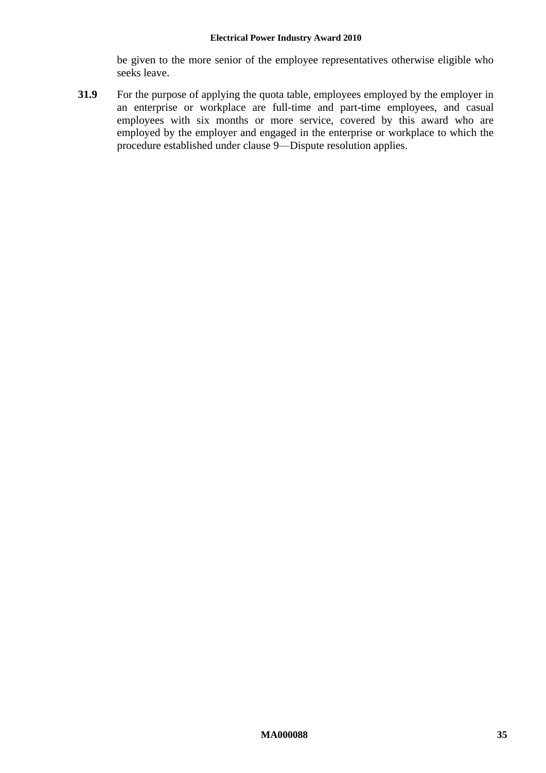be given to the more senior of the employee representatives otherwise eligible who seeks leave.

<span id="page-34-0"></span>**31.9** For the purpose of applying the quota table, employees employed by the employer in an enterprise or workplace are full-time and part-time employees, and casual employees with six months or more service, covered by this award who are employed by the employer and engaged in the enterprise or workplace to which the procedure established under clause [9—Dispute resolution](#page-9-0) applies.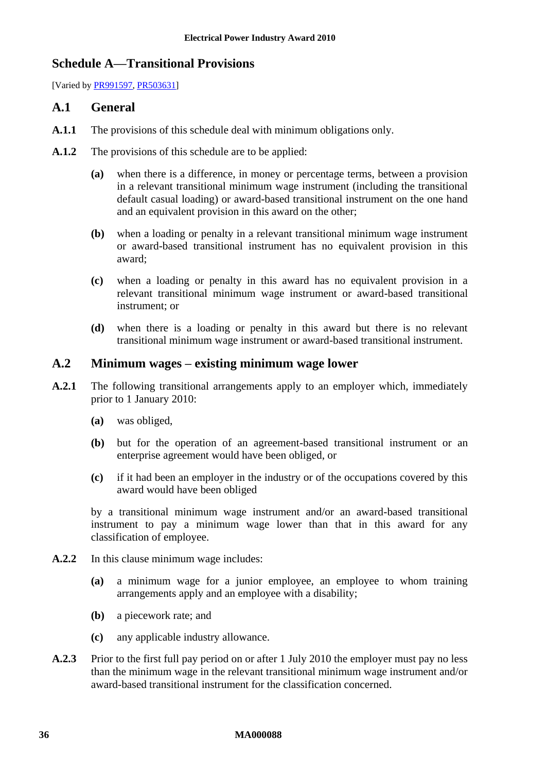# <span id="page-35-0"></span>**Schedule A—Transitional Provisions**

[Varied by [PR991597,](http://www.fwc.gov.au/alldocuments/PR991597.htm) [PR503631\]](http://www.fwc.gov.au/awardsandorders/html/PR503631.htm)

# **A.1 General**

- **A.1.1** The provisions of this schedule deal with minimum obligations only.
- **A.1.2** The provisions of this schedule are to be applied:
	- **(a)** when there is a difference, in money or percentage terms, between a provision in a relevant transitional minimum wage instrument (including the transitional default casual loading) or award-based transitional instrument on the one hand and an equivalent provision in this award on the other;
	- **(b)** when a loading or penalty in a relevant transitional minimum wage instrument or award-based transitional instrument has no equivalent provision in this award;
	- **(c)** when a loading or penalty in this award has no equivalent provision in a relevant transitional minimum wage instrument or award-based transitional instrument; or
	- **(d)** when there is a loading or penalty in this award but there is no relevant transitional minimum wage instrument or award-based transitional instrument.

# **A.2 Minimum wages – existing minimum wage lower**

- **A.2.1** The following transitional arrangements apply to an employer which, immediately prior to 1 January 2010:
	- **(a)** was obliged,
	- **(b)** but for the operation of an agreement-based transitional instrument or an enterprise agreement would have been obliged, or
	- **(c)** if it had been an employer in the industry or of the occupations covered by this award would have been obliged

by a transitional minimum wage instrument and/or an award-based transitional instrument to pay a minimum wage lower than that in this award for any classification of employee.

- **A.2.2** In this clause minimum wage includes:
	- **(a)** a minimum wage for a junior employee, an employee to whom training arrangements apply and an employee with a disability;
	- **(b)** a piecework rate; and
	- **(c)** any applicable industry allowance.
- <span id="page-35-1"></span>**A.2.3** Prior to the first full pay period on or after 1 July 2010 the employer must pay no less than the minimum wage in the relevant transitional minimum wage instrument and/or award-based transitional instrument for the classification concerned.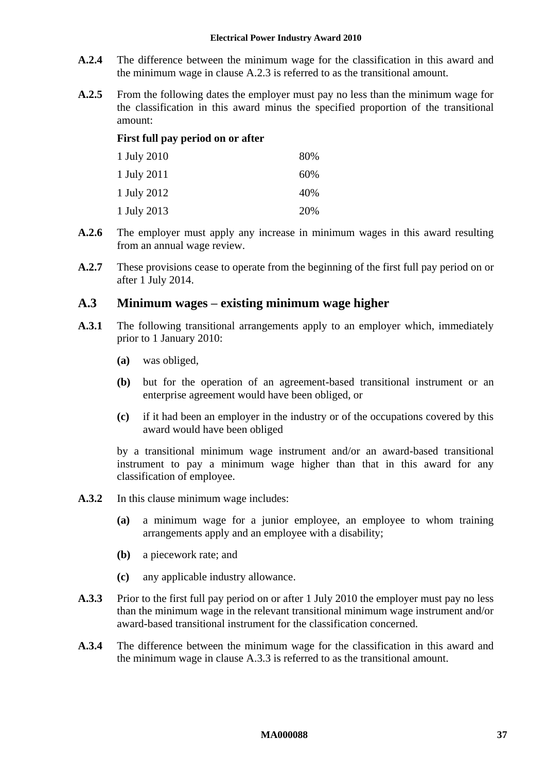#### **Electrical Power Industry Award 2010**

- **A.2.4** The difference between the minimum wage for the classification in this award and the minimum wage in clause [A.2.3](#page-35-1) is referred to as the transitional amount.
- **A.2.5** From the following dates the employer must pay no less than the minimum wage for the classification in this award minus the specified proportion of the transitional amount:

### **First full pay period on or after**

| 1 July 2010 | 80% |
|-------------|-----|
| 1 July 2011 | 60% |
| 1 July 2012 | 40% |
| 1 July 2013 | 20% |

- **A.2.6** The employer must apply any increase in minimum wages in this award resulting from an annual wage review.
- **A.2.7** These provisions cease to operate from the beginning of the first full pay period on or after 1 July 2014.

### **A.3 Minimum wages – existing minimum wage higher**

- **A.3.1** The following transitional arrangements apply to an employer which, immediately prior to 1 January 2010:
	- **(a)** was obliged,
	- **(b)** but for the operation of an agreement-based transitional instrument or an enterprise agreement would have been obliged, or
	- **(c)** if it had been an employer in the industry or of the occupations covered by this award would have been obliged

by a transitional minimum wage instrument and/or an award-based transitional instrument to pay a minimum wage higher than that in this award for any classification of employee.

- **A.3.2** In this clause minimum wage includes:
	- **(a)** a minimum wage for a junior employee, an employee to whom training arrangements apply and an employee with a disability;
	- **(b)** a piecework rate; and
	- **(c)** any applicable industry allowance.
- <span id="page-36-0"></span>**A.3.3** Prior to the first full pay period on or after 1 July 2010 the employer must pay no less than the minimum wage in the relevant transitional minimum wage instrument and/or award-based transitional instrument for the classification concerned.
- **A.3.4** The difference between the minimum wage for the classification in this award and the minimum wage in clause [A.3.3](#page-36-0) is referred to as the transitional amount.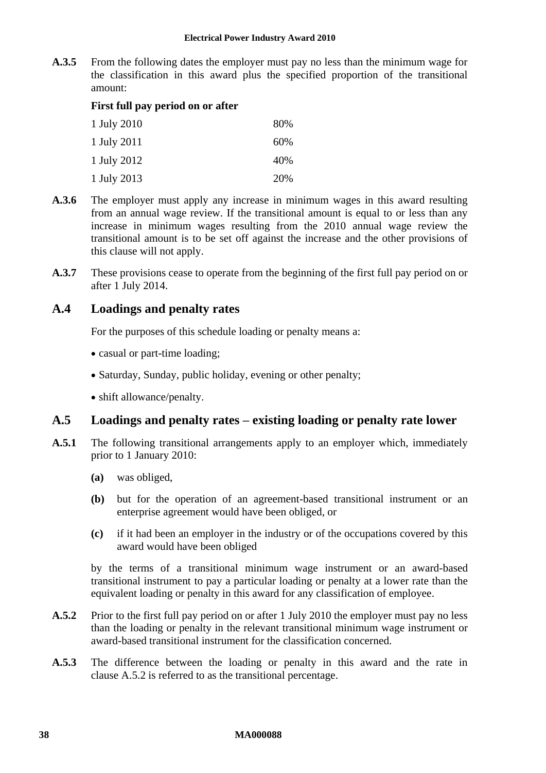**A.3.5** From the following dates the employer must pay no less than the minimum wage for the classification in this award plus the specified proportion of the transitional amount:

### **First full pay period on or after**

| 1 July 2010 | 80% |
|-------------|-----|
| 1 July 2011 | 60% |
| 1 July 2012 | 40% |
| 1 July 2013 | 20% |

- **A.3.6** The employer must apply any increase in minimum wages in this award resulting from an annual wage review. If the transitional amount is equal to or less than any increase in minimum wages resulting from the 2010 annual wage review the transitional amount is to be set off against the increase and the other provisions of this clause will not apply.
- **A.3.7** These provisions cease to operate from the beginning of the first full pay period on or after 1 July 2014.

# **A.4 Loadings and penalty rates**

For the purposes of this schedule loading or penalty means a:

- casual or part-time loading;
- Saturday, Sunday, public holiday, evening or other penalty;
- shift allowance/penalty.

# <span id="page-37-1"></span>**A.5 Loadings and penalty rates – existing loading or penalty rate lower**

- **A.5.1** The following transitional arrangements apply to an employer which, immediately prior to 1 January 2010:
	- **(a)** was obliged,
	- **(b)** but for the operation of an agreement-based transitional instrument or an enterprise agreement would have been obliged, or
	- **(c)** if it had been an employer in the industry or of the occupations covered by this award would have been obliged

by the terms of a transitional minimum wage instrument or an award-based transitional instrument to pay a particular loading or penalty at a lower rate than the equivalent loading or penalty in this award for any classification of employee.

- <span id="page-37-0"></span>**A.5.2** Prior to the first full pay period on or after 1 July 2010 the employer must pay no less than the loading or penalty in the relevant transitional minimum wage instrument or award-based transitional instrument for the classification concerned.
- **A.5.3** The difference between the loading or penalty in this award and the rate in clause [A.5.2](#page-37-0) is referred to as the transitional percentage.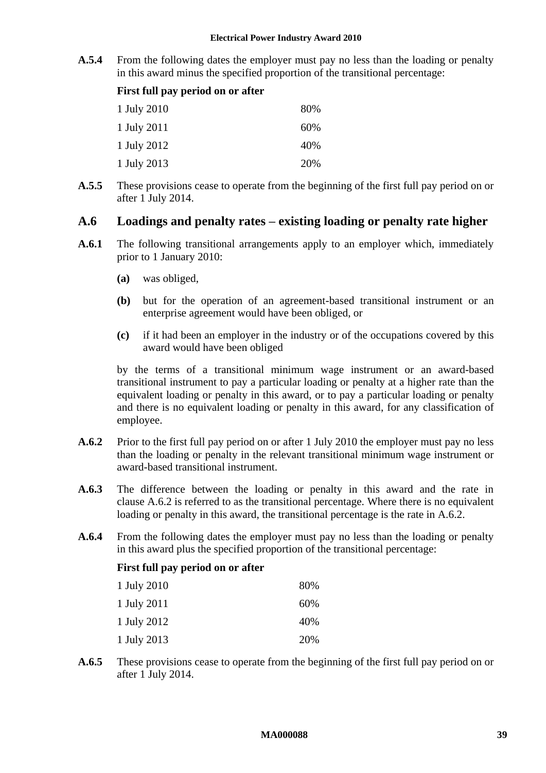**A.5.4** From the following dates the employer must pay no less than the loading or penalty in this award minus the specified proportion of the transitional percentage:

| First full pay period on or after |  |  |  |  |  |
|-----------------------------------|--|--|--|--|--|
|-----------------------------------|--|--|--|--|--|

| 1 July 2010 | 80% |
|-------------|-----|
| 1 July 2011 | 60% |
| 1 July 2012 | 40% |
| 1 July 2013 | 20% |

**A.5.5** These provisions cease to operate from the beginning of the first full pay period on or after 1 July 2014.

# <span id="page-38-1"></span>**A.6 Loadings and penalty rates – existing loading or penalty rate higher**

- **A.6.1** The following transitional arrangements apply to an employer which, immediately prior to 1 January 2010:
	- **(a)** was obliged,
	- **(b)** but for the operation of an agreement-based transitional instrument or an enterprise agreement would have been obliged, or
	- **(c)** if it had been an employer in the industry or of the occupations covered by this award would have been obliged

by the terms of a transitional minimum wage instrument or an award-based transitional instrument to pay a particular loading or penalty at a higher rate than the equivalent loading or penalty in this award, or to pay a particular loading or penalty and there is no equivalent loading or penalty in this award, for any classification of employee.

- <span id="page-38-0"></span>**A.6.2** Prior to the first full pay period on or after 1 July 2010 the employer must pay no less than the loading or penalty in the relevant transitional minimum wage instrument or award-based transitional instrument.
- **A.6.3** The difference between the loading or penalty in this award and the rate in clause [A.6.2](#page-38-0) is referred to as the transitional percentage. Where there is no equivalent loading or penalty in this award, the transitional percentage is the rate in [A.6.2.](#page-38-0)
- **A.6.4** From the following dates the employer must pay no less than the loading or penalty in this award plus the specified proportion of the transitional percentage:

# **First full pay period on or after**

| 1 July 2010 | 80% |
|-------------|-----|
| 1 July 2011 | 60% |
| 1 July 2012 | 40% |
| 1 July 2013 | 20% |

**A.6.5** These provisions cease to operate from the beginning of the first full pay period on or after 1 July 2014.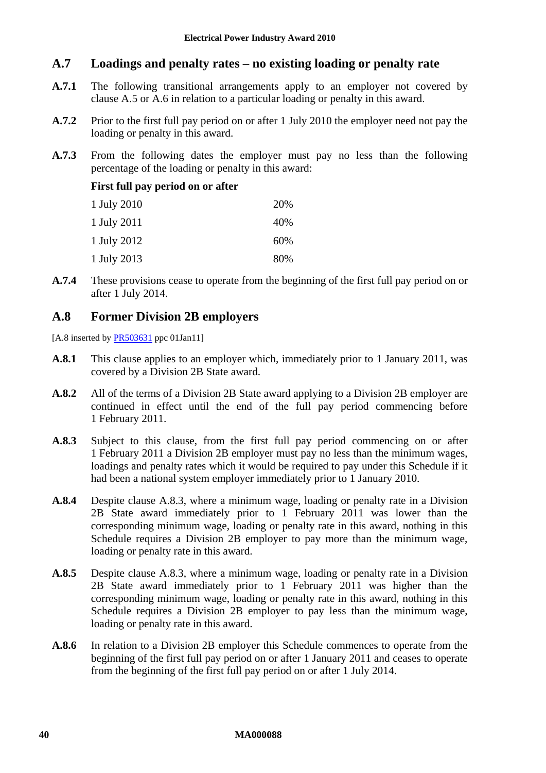# **A.7 Loadings and penalty rates – no existing loading or penalty rate**

- **A.7.1** The following transitional arrangements apply to an employer not covered by clause [A.5](#page-37-1) or [A.6](#page-38-1) in relation to a particular loading or penalty in this award.
- **A.7.2** Prior to the first full pay period on or after 1 July 2010 the employer need not pay the loading or penalty in this award.
- **A.7.3** From the following dates the employer must pay no less than the following percentage of the loading or penalty in this award:

### **First full pay period on or after**

| 1 July 2010 | 20% |
|-------------|-----|
| 1 July 2011 | 40% |
| 1 July 2012 | 60% |
| 1 July 2013 | 80% |

**A.7.4** These provisions cease to operate from the beginning of the first full pay period on or after 1 July 2014.

# **A.8 Former Division 2B employers**

[A.8 inserted by [PR503631](http://www.fwc.gov.au/awardsandorders/html/PR503631.htm) ppc 01Jan11]

- **A.8.1** This clause applies to an employer which, immediately prior to 1 January 2011, was covered by a Division 2B State award.
- **A.8.2** All of the terms of a Division 2B State award applying to a Division 2B employer are continued in effect until the end of the full pay period commencing before 1 February 2011.
- <span id="page-39-0"></span>**A.8.3** Subject to this clause, from the first full pay period commencing on or after 1 February 2011 a Division 2B employer must pay no less than the minimum wages, loadings and penalty rates which it would be required to pay under this Schedule if it had been a national system employer immediately prior to 1 January 2010.
- **A.8.4** Despite clause [A.8.3,](#page-39-0) where a minimum wage, loading or penalty rate in a Division 2B State award immediately prior to 1 February 2011 was lower than the corresponding minimum wage, loading or penalty rate in this award, nothing in this Schedule requires a Division 2B employer to pay more than the minimum wage, loading or penalty rate in this award.
- **A.8.5** Despite clause [A.8.3,](#page-39-0) where a minimum wage, loading or penalty rate in a Division 2B State award immediately prior to 1 February 2011 was higher than the corresponding minimum wage, loading or penalty rate in this award, nothing in this Schedule requires a Division 2B employer to pay less than the minimum wage, loading or penalty rate in this award.
- **A.8.6** In relation to a Division 2B employer this Schedule commences to operate from the beginning of the first full pay period on or after 1 January 2011 and ceases to operate from the beginning of the first full pay period on or after 1 July 2014.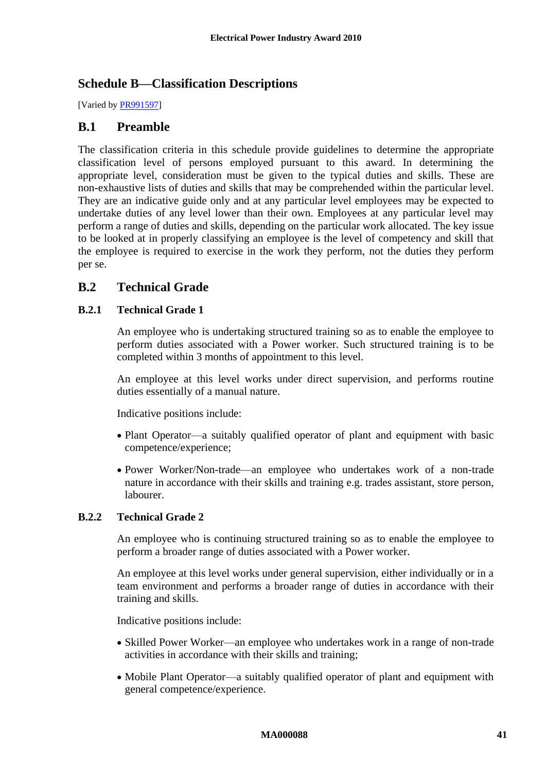# <span id="page-40-0"></span>**Schedule B—Classification Descriptions**

[Varied b[y PR991597\]](http://www.fwc.gov.au/alldocuments/PR991597.htm)

# **B.1 Preamble**

The classification criteria in this schedule provide guidelines to determine the appropriate classification level of persons employed pursuant to this award. In determining the appropriate level, consideration must be given to the typical duties and skills. These are non-exhaustive lists of duties and skills that may be comprehended within the particular level. They are an indicative guide only and at any particular level employees may be expected to undertake duties of any level lower than their own. Employees at any particular level may perform a range of duties and skills, depending on the particular work allocated. The key issue to be looked at in properly classifying an employee is the level of competency and skill that the employee is required to exercise in the work they perform, not the duties they perform per se.

# **B.2 Technical Grade**

# **B.2.1 Technical Grade 1**

An employee who is undertaking structured training so as to enable the employee to perform duties associated with a Power worker. Such structured training is to be completed within 3 months of appointment to this level.

An employee at this level works under direct supervision, and performs routine duties essentially of a manual nature.

Indicative positions include:

- Plant Operator—a suitably qualified operator of plant and equipment with basic competence/experience;
- Power Worker/Non-trade—an employee who undertakes work of a non-trade nature in accordance with their skills and training e.g. trades assistant, store person, labourer.

# **B.2.2 Technical Grade 2**

An employee who is continuing structured training so as to enable the employee to perform a broader range of duties associated with a Power worker.

An employee at this level works under general supervision, either individually or in a team environment and performs a broader range of duties in accordance with their training and skills.

Indicative positions include:

- Skilled Power Worker—an employee who undertakes work in a range of non-trade activities in accordance with their skills and training;
- Mobile Plant Operator—a suitably qualified operator of plant and equipment with general competence/experience.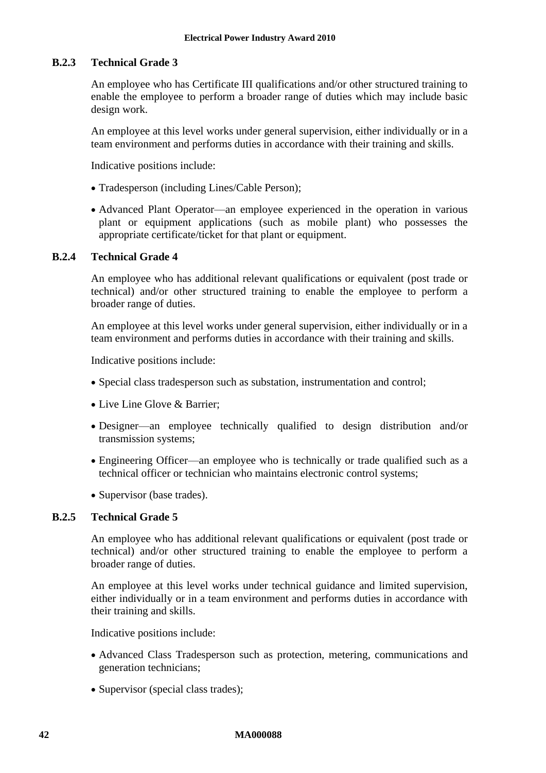### **B.2.3 Technical Grade 3**

An employee who has Certificate III qualifications and/or other structured training to enable the employee to perform a broader range of duties which may include basic design work.

An employee at this level works under general supervision, either individually or in a team environment and performs duties in accordance with their training and skills.

Indicative positions include:

- Tradesperson (including Lines/Cable Person);
- Advanced Plant Operator—an employee experienced in the operation in various plant or equipment applications (such as mobile plant) who possesses the appropriate certificate/ticket for that plant or equipment.

# **B.2.4 Technical Grade 4**

An employee who has additional relevant qualifications or equivalent (post trade or technical) and/or other structured training to enable the employee to perform a broader range of duties.

An employee at this level works under general supervision, either individually or in a team environment and performs duties in accordance with their training and skills.

Indicative positions include:

- Special class tradesperson such as substation, instrumentation and control;
- Live Line Glove & Barrier;
- Designer—an employee technically qualified to design distribution and/or transmission systems;
- Engineering Officer—an employee who is technically or trade qualified such as a technical officer or technician who maintains electronic control systems;
- Supervisor (base trades).

### **B.2.5 Technical Grade 5**

An employee who has additional relevant qualifications or equivalent (post trade or technical) and/or other structured training to enable the employee to perform a broader range of duties.

An employee at this level works under technical guidance and limited supervision, either individually or in a team environment and performs duties in accordance with their training and skills.

Indicative positions include:

- Advanced Class Tradesperson such as protection, metering, communications and generation technicians;
- Supervisor (special class trades);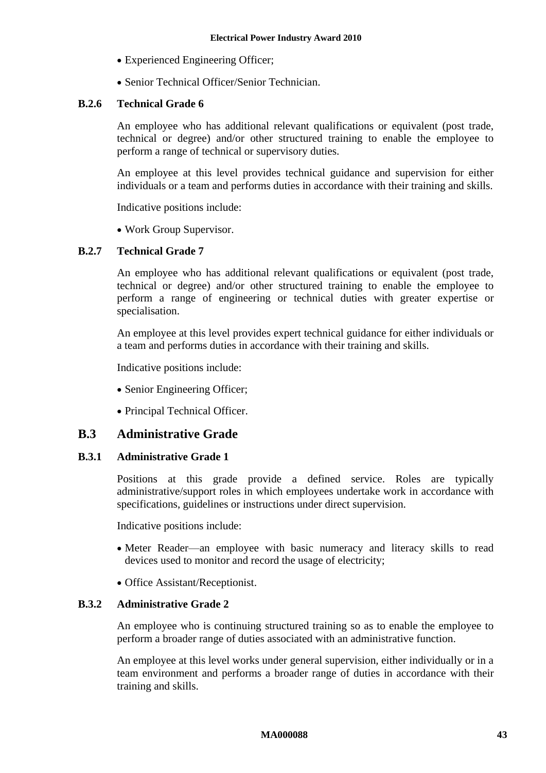- Experienced Engineering Officer;
- Senior Technical Officer/Senior Technician.

### **B.2.6 Technical Grade 6**

An employee who has additional relevant qualifications or equivalent (post trade, technical or degree) and/or other structured training to enable the employee to perform a range of technical or supervisory duties.

An employee at this level provides technical guidance and supervision for either individuals or a team and performs duties in accordance with their training and skills.

Indicative positions include:

• Work Group Supervisor.

### **B.2.7 Technical Grade 7**

An employee who has additional relevant qualifications or equivalent (post trade, technical or degree) and/or other structured training to enable the employee to perform a range of engineering or technical duties with greater expertise or specialisation.

An employee at this level provides expert technical guidance for either individuals or a team and performs duties in accordance with their training and skills.

Indicative positions include:

- Senior Engineering Officer;
- Principal Technical Officer.

### **B.3 Administrative Grade**

### **B.3.1 Administrative Grade 1**

Positions at this grade provide a defined service. Roles are typically administrative/support roles in which employees undertake work in accordance with specifications, guidelines or instructions under direct supervision.

Indicative positions include:

- Meter Reader—an employee with basic numeracy and literacy skills to read devices used to monitor and record the usage of electricity;
- Office Assistant/Receptionist.

### **B.3.2 Administrative Grade 2**

An employee who is continuing structured training so as to enable the employee to perform a broader range of duties associated with an administrative function.

An employee at this level works under general supervision, either individually or in a team environment and performs a broader range of duties in accordance with their training and skills.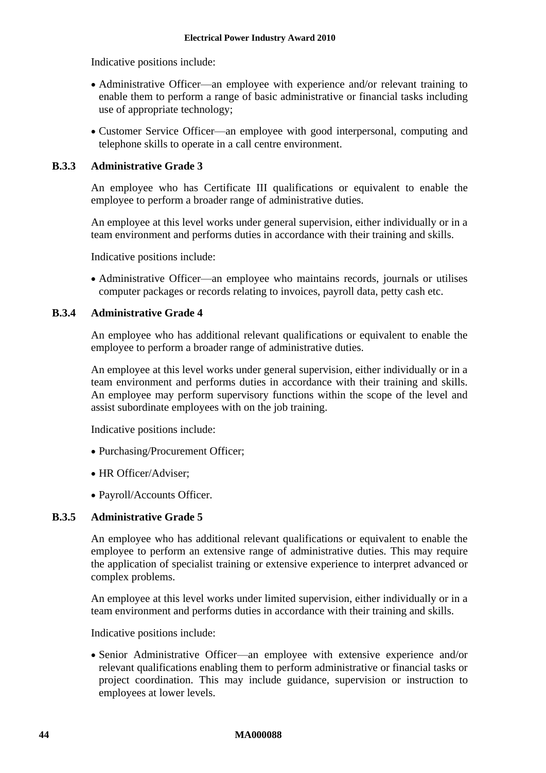Indicative positions include:

- Administrative Officer—an employee with experience and/or relevant training to enable them to perform a range of basic administrative or financial tasks including use of appropriate technology;
- Customer Service Officer—an employee with good interpersonal, computing and telephone skills to operate in a call centre environment.

### **B.3.3 Administrative Grade 3**

An employee who has Certificate III qualifications or equivalent to enable the employee to perform a broader range of administrative duties.

An employee at this level works under general supervision, either individually or in a team environment and performs duties in accordance with their training and skills.

Indicative positions include:

 Administrative Officer—an employee who maintains records, journals or utilises computer packages or records relating to invoices, payroll data, petty cash etc.

# **B.3.4 Administrative Grade 4**

An employee who has additional relevant qualifications or equivalent to enable the employee to perform a broader range of administrative duties.

An employee at this level works under general supervision, either individually or in a team environment and performs duties in accordance with their training and skills. An employee may perform supervisory functions within the scope of the level and assist subordinate employees with on the job training.

Indicative positions include:

- Purchasing/Procurement Officer;
- HR Officer/Adviser;
- Payroll/Accounts Officer.

### **B.3.5 Administrative Grade 5**

An employee who has additional relevant qualifications or equivalent to enable the employee to perform an extensive range of administrative duties. This may require the application of specialist training or extensive experience to interpret advanced or complex problems.

An employee at this level works under limited supervision, either individually or in a team environment and performs duties in accordance with their training and skills.

Indicative positions include:

 Senior Administrative Officer—an employee with extensive experience and/or relevant qualifications enabling them to perform administrative or financial tasks or project coordination. This may include guidance, supervision or instruction to employees at lower levels.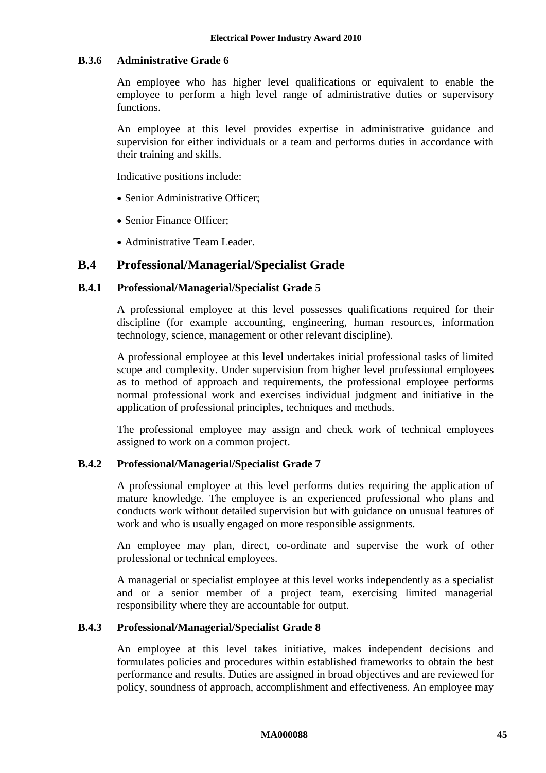### **B.3.6 Administrative Grade 6**

An employee who has higher level qualifications or equivalent to enable the employee to perform a high level range of administrative duties or supervisory functions.

An employee at this level provides expertise in administrative guidance and supervision for either individuals or a team and performs duties in accordance with their training and skills.

Indicative positions include:

- Senior Administrative Officer:
- Senior Finance Officer:
- Administrative Team Leader.

# **B.4 Professional/Managerial/Specialist Grade**

### **B.4.1 Professional/Managerial/Specialist Grade 5**

A professional employee at this level possesses qualifications required for their discipline (for example accounting, engineering, human resources, information technology, science, management or other relevant discipline).

A professional employee at this level undertakes initial professional tasks of limited scope and complexity. Under supervision from higher level professional employees as to method of approach and requirements, the professional employee performs normal professional work and exercises individual judgment and initiative in the application of professional principles, techniques and methods.

The professional employee may assign and check work of technical employees assigned to work on a common project.

### **B.4.2 Professional/Managerial/Specialist Grade 7**

A professional employee at this level performs duties requiring the application of mature knowledge. The employee is an experienced professional who plans and conducts work without detailed supervision but with guidance on unusual features of work and who is usually engaged on more responsible assignments.

An employee may plan, direct, co-ordinate and supervise the work of other professional or technical employees.

A managerial or specialist employee at this level works independently as a specialist and or a senior member of a project team, exercising limited managerial responsibility where they are accountable for output.

### **B.4.3 Professional/Managerial/Specialist Grade 8**

An employee at this level takes initiative, makes independent decisions and formulates policies and procedures within established frameworks to obtain the best performance and results. Duties are assigned in broad objectives and are reviewed for policy, soundness of approach, accomplishment and effectiveness. An employee may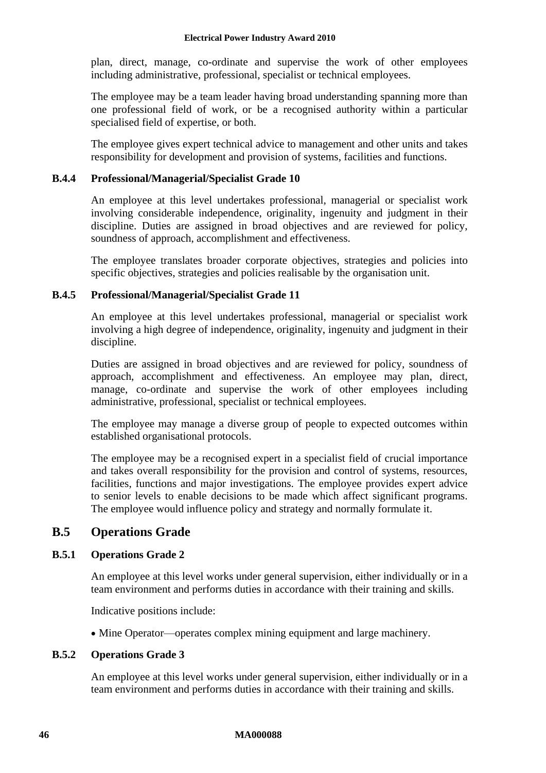### **Electrical Power Industry Award 2010**

plan, direct, manage, co-ordinate and supervise the work of other employees including administrative, professional, specialist or technical employees.

The employee may be a team leader having broad understanding spanning more than one professional field of work, or be a recognised authority within a particular specialised field of expertise, or both.

The employee gives expert technical advice to management and other units and takes responsibility for development and provision of systems, facilities and functions.

### **B.4.4 Professional/Managerial/Specialist Grade 10**

An employee at this level undertakes professional, managerial or specialist work involving considerable independence, originality, ingenuity and judgment in their discipline. Duties are assigned in broad objectives and are reviewed for policy, soundness of approach, accomplishment and effectiveness.

The employee translates broader corporate objectives, strategies and policies into specific objectives, strategies and policies realisable by the organisation unit.

### **B.4.5 Professional/Managerial/Specialist Grade 11**

An employee at this level undertakes professional, managerial or specialist work involving a high degree of independence, originality, ingenuity and judgment in their discipline.

Duties are assigned in broad objectives and are reviewed for policy, soundness of approach, accomplishment and effectiveness. An employee may plan, direct, manage, co-ordinate and supervise the work of other employees including administrative, professional, specialist or technical employees.

The employee may manage a diverse group of people to expected outcomes within established organisational protocols.

The employee may be a recognised expert in a specialist field of crucial importance and takes overall responsibility for the provision and control of systems, resources, facilities, functions and major investigations. The employee provides expert advice to senior levels to enable decisions to be made which affect significant programs. The employee would influence policy and strategy and normally formulate it.

# **B.5 Operations Grade**

# **B.5.1 Operations Grade 2**

An employee at this level works under general supervision, either individually or in a team environment and performs duties in accordance with their training and skills.

Indicative positions include:

• Mine Operator—operates complex mining equipment and large machinery.

### **B.5.2 Operations Grade 3**

An employee at this level works under general supervision, either individually or in a team environment and performs duties in accordance with their training and skills.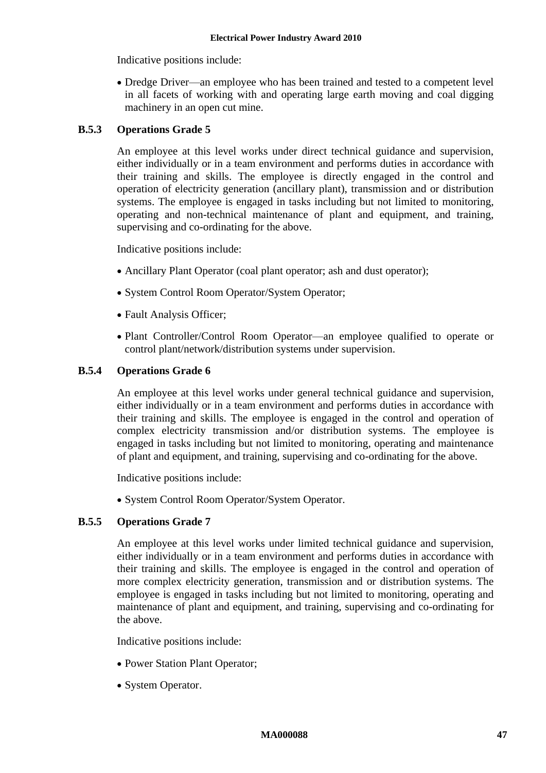Indicative positions include:

 Dredge Driver—an employee who has been trained and tested to a competent level in all facets of working with and operating large earth moving and coal digging machinery in an open cut mine.

### **B.5.3 Operations Grade 5**

An employee at this level works under direct technical guidance and supervision, either individually or in a team environment and performs duties in accordance with their training and skills. The employee is directly engaged in the control and operation of electricity generation (ancillary plant), transmission and or distribution systems. The employee is engaged in tasks including but not limited to monitoring, operating and non-technical maintenance of plant and equipment, and training, supervising and co-ordinating for the above.

Indicative positions include:

- Ancillary Plant Operator (coal plant operator; ash and dust operator);
- System Control Room Operator/System Operator;
- Fault Analysis Officer;
- Plant Controller/Control Room Operator—an employee qualified to operate or control plant/network/distribution systems under supervision.

### **B.5.4 Operations Grade 6**

An employee at this level works under general technical guidance and supervision, either individually or in a team environment and performs duties in accordance with their training and skills. The employee is engaged in the control and operation of complex electricity transmission and/or distribution systems. The employee is engaged in tasks including but not limited to monitoring, operating and maintenance of plant and equipment, and training, supervising and co-ordinating for the above.

Indicative positions include:

• System Control Room Operator/System Operator.

### **B.5.5 Operations Grade 7**

An employee at this level works under limited technical guidance and supervision, either individually or in a team environment and performs duties in accordance with their training and skills. The employee is engaged in the control and operation of more complex electricity generation, transmission and or distribution systems. The employee is engaged in tasks including but not limited to monitoring, operating and maintenance of plant and equipment, and training, supervising and co-ordinating for the above.

Indicative positions include:

- Power Station Plant Operator;
- System Operator.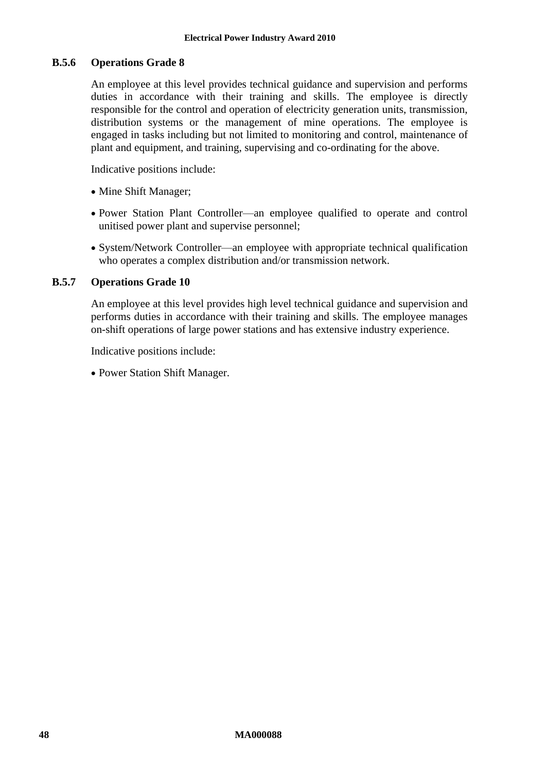### **B.5.6 Operations Grade 8**

An employee at this level provides technical guidance and supervision and performs duties in accordance with their training and skills. The employee is directly responsible for the control and operation of electricity generation units, transmission, distribution systems or the management of mine operations. The employee is engaged in tasks including but not limited to monitoring and control, maintenance of plant and equipment, and training, supervising and co-ordinating for the above.

Indicative positions include:

- Mine Shift Manager;
- Power Station Plant Controller—an employee qualified to operate and control unitised power plant and supervise personnel;
- System/Network Controller—an employee with appropriate technical qualification who operates a complex distribution and/or transmission network.

### **B.5.7 Operations Grade 10**

An employee at this level provides high level technical guidance and supervision and performs duties in accordance with their training and skills. The employee manages on-shift operations of large power stations and has extensive industry experience.

Indicative positions include:

• Power Station Shift Manager.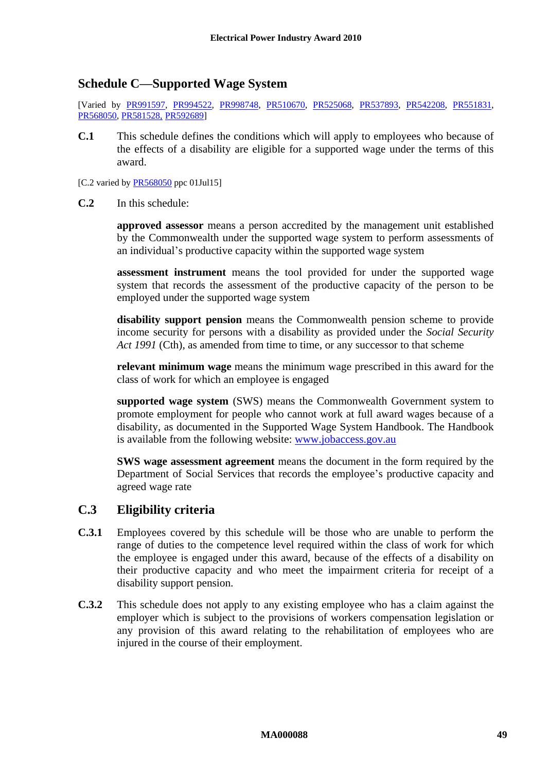# <span id="page-48-0"></span>**Schedule C—Supported Wage System**

[Varied by [PR991597,](http://www.fwc.gov.au/alldocuments/PR991597.htm) [PR994522,](http://www.fwc.gov.au/awardsandorders/html/PR994522.htm) [PR998748,](http://www.fwc.gov.au/awardsandorders/html/PR998748.htm) [PR510670,](http://www.fwc.gov.au/awardsandorders/html/PR510670.htm) [PR525068,](http://www.fwc.gov.au/awardsandorders/html/PR525068.htm) [PR537893,](http://www.fwc.gov.au/awardsandorders/html/PR537893.htm) [PR542208,](http://www.fwc.gov.au/awardsandorders/html/PR542208.htm) [PR551831,](http://www.fwc.gov.au/awardsandorders/html/PR551831.htm) [PR568050,](http://www.fwc.gov.au/awardsandorders/html/PR568050.htm) [PR581528,](http://www.fwc.gov.au/awardsandorders/html/PR581528.htm) PR5926891

**C.1** This schedule defines the conditions which will apply to employees who because of the effects of a disability are eligible for a supported wage under the terms of this award.

[C.2 varied by  $PR568050$  ppc 01Jul15]

**C.2** In this schedule:

**approved assessor** means a person accredited by the management unit established by the Commonwealth under the supported wage system to perform assessments of an individual's productive capacity within the supported wage system

**assessment instrument** means the tool provided for under the supported wage system that records the assessment of the productive capacity of the person to be employed under the supported wage system

**disability support pension** means the Commonwealth pension scheme to provide income security for persons with a disability as provided under the *Social Security Act 1991* (Cth), as amended from time to time, or any successor to that scheme

**relevant minimum wage** means the minimum wage prescribed in this award for the class of work for which an employee is engaged

**supported wage system** (SWS) means the Commonwealth Government system to promote employment for people who cannot work at full award wages because of a disability, as documented in the Supported Wage System Handbook. The Handbook is available from the following website: [www.jobaccess.gov.au](http://www.jobaccess.gov.au/)

**SWS wage assessment agreement** means the document in the form required by the Department of Social Services that records the employee's productive capacity and agreed wage rate

# **C.3 Eligibility criteria**

- **C.3.1** Employees covered by this schedule will be those who are unable to perform the range of duties to the competence level required within the class of work for which the employee is engaged under this award, because of the effects of a disability on their productive capacity and who meet the impairment criteria for receipt of a disability support pension.
- **C.3.2** This schedule does not apply to any existing employee who has a claim against the employer which is subject to the provisions of workers compensation legislation or any provision of this award relating to the rehabilitation of employees who are injured in the course of their employment.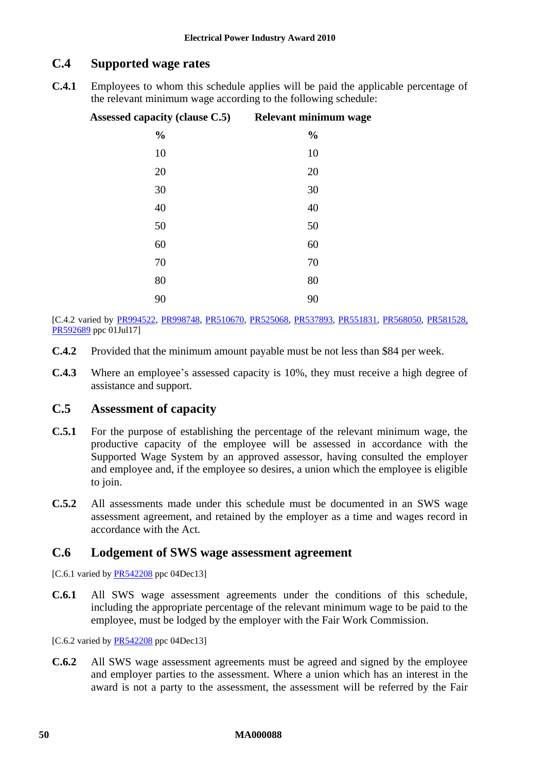# **C.4 Supported wage rates**

**C.4.1** Employees to whom this schedule applies will be paid the applicable percentage of the relevant minimum wage according to the following schedule:

| Assessed capacity (clause C.5) Relevant minimum wage |               |
|------------------------------------------------------|---------------|
| $\frac{0}{0}$                                        | $\frac{0}{0}$ |
| 10                                                   | 10            |
| 20                                                   | 20            |
| 30                                                   | 30            |
| 40                                                   | 40            |
| 50                                                   | 50            |
| 60                                                   | 60            |
| $70\,$                                               | $70\,$        |
| 80                                                   | 80            |
| 90                                                   | 90            |

[C.4.2 varied by [PR994522,](http://www.fwc.gov.au/awardsandorders/html/PR994522.htm) [PR998748,](http://www.fwc.gov.au/awardsandorders/html/PR998748.htm) [PR510670,](http://www.fwc.gov.au/awardsandorders/html/PR510670.htm) [PR525068,](http://www.fwc.gov.au/awardsandorders/html/PR525068.htm) [PR537893,](http://www.fwc.gov.au/awardsandorders/html/PR537893.htm) [PR551831,](http://www.fwc.gov.au/awardsandorders/html/PR551831.htm) [PR568050,](http://www.fwc.gov.au/awardsandorders/html/PR568050.htm) [PR581528,](http://www.fwc.gov.au/awardsandorders/html/PR581528.htm) [PR592689](http://www.fwc.gov.au/awardsandorders/html/PR592689.htm) ppc 01Jul17]

- **C.4.2** Provided that the minimum amount payable must be not less than \$84 per week.
- **C.4.3** Where an employee's assessed capacity is 10%, they must receive a high degree of assistance and support.

# <span id="page-49-0"></span>**C.5 Assessment of capacity**

- **C.5.1** For the purpose of establishing the percentage of the relevant minimum wage, the productive capacity of the employee will be assessed in accordance with the Supported Wage System by an approved assessor, having consulted the employer and employee and, if the employee so desires, a union which the employee is eligible to join.
- **C.5.2** All assessments made under this schedule must be documented in an SWS wage assessment agreement, and retained by the employer as a time and wages record in accordance with the Act.

### **C.6 Lodgement of SWS wage assessment agreement**

[C.6.1 varied by [PR542208](http://www.fwc.gov.au/awardsandorders/html/PR542208.htm) ppc 04Dec13]

**C.6.1** All SWS wage assessment agreements under the conditions of this schedule, including the appropriate percentage of the relevant minimum wage to be paid to the employee, must be lodged by the employer with the Fair Work Commission.

[C.6.2 varied by **PR542208** ppc 04Dec13]

**C.6.2** All SWS wage assessment agreements must be agreed and signed by the employee and employer parties to the assessment. Where a union which has an interest in the award is not a party to the assessment, the assessment will be referred by the Fair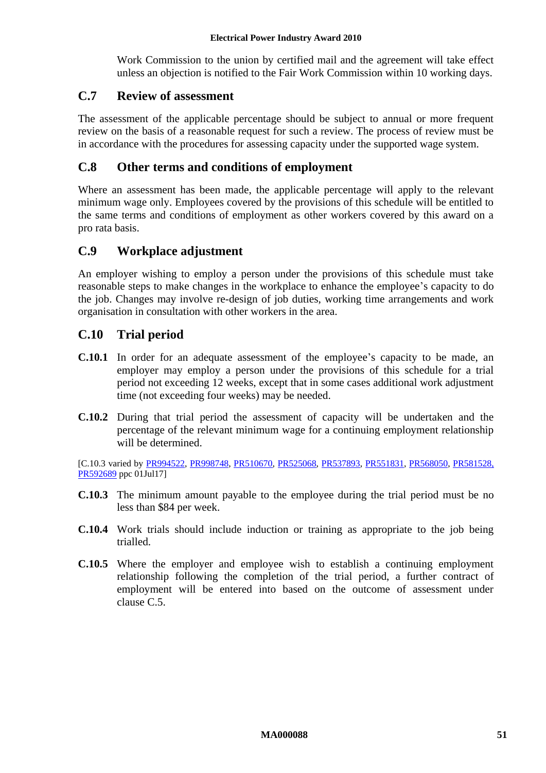Work Commission to the union by certified mail and the agreement will take effect unless an objection is notified to the Fair Work Commission within 10 working days.

# **C.7 Review of assessment**

The assessment of the applicable percentage should be subject to annual or more frequent review on the basis of a reasonable request for such a review. The process of review must be in accordance with the procedures for assessing capacity under the supported wage system.

# **C.8 Other terms and conditions of employment**

Where an assessment has been made, the applicable percentage will apply to the relevant minimum wage only. Employees covered by the provisions of this schedule will be entitled to the same terms and conditions of employment as other workers covered by this award on a pro rata basis.

# **C.9 Workplace adjustment**

An employer wishing to employ a person under the provisions of this schedule must take reasonable steps to make changes in the workplace to enhance the employee's capacity to do the job. Changes may involve re-design of job duties, working time arrangements and work organisation in consultation with other workers in the area.

# **C.10 Trial period**

- **C.10.1** In order for an adequate assessment of the employee's capacity to be made, an employer may employ a person under the provisions of this schedule for a trial period not exceeding 12 weeks, except that in some cases additional work adjustment time (not exceeding four weeks) may be needed.
- **C.10.2** During that trial period the assessment of capacity will be undertaken and the percentage of the relevant minimum wage for a continuing employment relationship will be determined.

[C.10.3 varied by [PR994522,](http://www.fwc.gov.au/awardsandorders/html/PR994522.htm) [PR998748,](http://www.fwc.gov.au/awardsandorders/html/PR998748.htm) [PR510670,](http://www.fwc.gov.au/awardsandorders/html/PR510670.htm) [PR525068,](http://www.fwc.gov.au/awardsandorders/html/PR525068.htm) [PR537893,](http://www.fwc.gov.au/awardsandorders/html/PR537893.htm) [PR551831,](http://www.fwc.gov.au/awardsandorders/html/PR551831.htm) [PR568050,](http://www.fwc.gov.au/awardsandorders/html/PR568050.htm) [PR581528,](http://www.fwc.gov.au/awardsandorders/html/PR581528.htm) [PR592689](http://www.fwc.gov.au/awardsandorders/html/PR592689.htm) ppc 01Jul17]

- **C.10.3** The minimum amount payable to the employee during the trial period must be no less than \$84 per week.
- **C.10.4** Work trials should include induction or training as appropriate to the job being trialled.
- **C.10.5** Where the employer and employee wish to establish a continuing employment relationship following the completion of the trial period, a further contract of employment will be entered into based on the outcome of assessment under clause [C.5.](#page-49-0)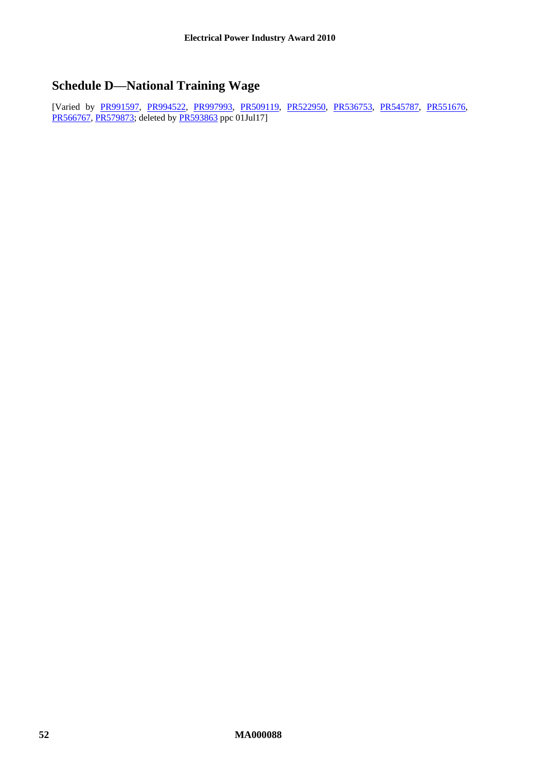# <span id="page-51-0"></span>**Schedule D—National Training Wage**

[Varied by [PR991597,](http://www.fwc.gov.au/alldocuments/PR991597.htm) [PR994522,](http://www.fwc.gov.au/awardsandorders/html/PR994522.htm) [PR997993,](http://www.fwc.gov.au/awardsandorders/html/PR997993.htm) [PR509119,](http://www.fwc.gov.au/awardsandorders/html/PR509119.htm) [PR522950,](http://www.fwc.gov.au/awardsandorders/html/PR522950.htm) [PR536753,](http://www.fwc.gov.au/awardsandorders/html/PR536753.htm) [PR545787,](http://www.fwc.gov.au/awardsandorders/html/PR545787.htm) [PR551676,](http://www.fwc.gov.au/awardsandorders/html/PR551676.htm) [PR566767,](https://www.fwc.gov.au/awardsandorders/html/PR566767.htm) [PR579873;](http://www.fwc.gov.au/awardsandorders/html/PR579873.htm) deleted by [PR593863](http://www.fwc.gov.au/awardsandorders/html/PR593863.htm) ppc 01Jul17]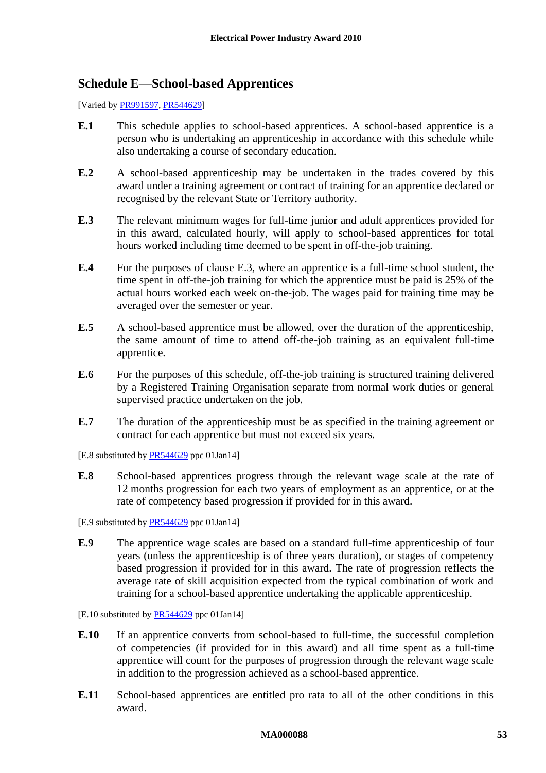# <span id="page-52-0"></span>**Schedule E—School-based Apprentices**

[Varied b[y PR991597,](http://www.fwc.gov.au/alldocuments/PR991597.htm) [PR544629\]](http://www.fwc.gov.au/awardsandorders/html/PR544629.htm)

- **E.1** This schedule applies to school-based apprentices. A school-based apprentice is a person who is undertaking an apprenticeship in accordance with this schedule while also undertaking a course of secondary education.
- **E.2** A school-based apprenticeship may be undertaken in the trades covered by this award under a training agreement or contract of training for an apprentice declared or recognised by the relevant State or Territory authority.
- <span id="page-52-1"></span>**E.3** The relevant minimum wages for full-time junior and adult apprentices provided for in this award, calculated hourly, will apply to school-based apprentices for total hours worked including time deemed to be spent in off-the-job training.
- **E.4** For the purposes of clause [E.3,](#page-52-1) where an apprentice is a full-time school student, the time spent in off-the-job training for which the apprentice must be paid is 25% of the actual hours worked each week on-the-job. The wages paid for training time may be averaged over the semester or year.
- **E.5** A school-based apprentice must be allowed, over the duration of the apprenticeship, the same amount of time to attend off-the-job training as an equivalent full-time apprentice.
- **E.6** For the purposes of this schedule, off-the-job training is structured training delivered by a Registered Training Organisation separate from normal work duties or general supervised practice undertaken on the job.
- **E.7** The duration of the apprenticeship must be as specified in the training agreement or contract for each apprentice but must not exceed six years.

[E.8 substituted by **PR544629** ppc 01Jan14]

**E.8** School-based apprentices progress through the relevant wage scale at the rate of 12 months progression for each two years of employment as an apprentice, or at the rate of competency based progression if provided for in this award.

[E.9 substituted by [PR544629](http://www.fwc.gov.au/awardsandorders/html/PR544629.htm) ppc 01Jan14]

**E.9** The apprentice wage scales are based on a standard full-time apprenticeship of four years (unless the apprenticeship is of three years duration), or stages of competency based progression if provided for in this award. The rate of progression reflects the average rate of skill acquisition expected from the typical combination of work and training for a school-based apprentice undertaking the applicable apprenticeship.

[E.10 substituted by [PR544629](http://www.fwc.gov.au/awardsandorders/html/PR544629.htm) ppc 01Jan14]

- **E.10** If an apprentice converts from school-based to full-time, the successful completion of competencies (if provided for in this award) and all time spent as a full-time apprentice will count for the purposes of progression through the relevant wage scale in addition to the progression achieved as a school-based apprentice.
- **E.11** School-based apprentices are entitled pro rata to all of the other conditions in this award.

### **MA000088 53**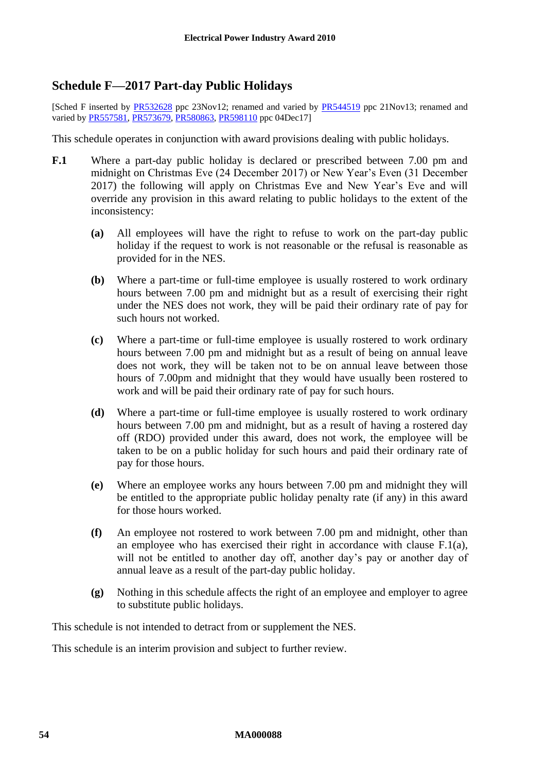# <span id="page-53-0"></span>**Schedule F—2017 Part-day Public Holidays**

[Sched F inserted by [PR532628](http://www.fwc.gov.au/awardsandorders/html/pr532628.htm) ppc 23Nov12; renamed and varied by [PR544519](http://www.fwc.gov.au/awardsandorders/html/pr544519.htm) ppc 21Nov13; renamed and varied b[y PR557581,](http://www.fwc.gov.au/awardsandorders/html/PR557581.htm) [PR573679,](http://www.fwc.gov.au/awardsandorders/html/PR573679.htm) [PR580863,](http://www.fwc.gov.au/awardsandorders/html/PR580863.htm) [PR598110](http://www.fwc.gov.au/documents/awardsandorders/html/pr598110.htm) ppc 04Dec171

This schedule operates in conjunction with award provisions dealing with public holidays.

- <span id="page-53-1"></span>**F.1** Where a part-day public holiday is declared or prescribed between 7.00 pm and midnight on Christmas Eve (24 December 2017) or New Year's Even (31 December 2017) the following will apply on Christmas Eve and New Year's Eve and will override any provision in this award relating to public holidays to the extent of the inconsistency:
	- **(a)** All employees will have the right to refuse to work on the part-day public holiday if the request to work is not reasonable or the refusal is reasonable as provided for in the NES.
	- **(b)** Where a part-time or full-time employee is usually rostered to work ordinary hours between 7.00 pm and midnight but as a result of exercising their right under the NES does not work, they will be paid their ordinary rate of pay for such hours not worked.
	- **(c)** Where a part-time or full-time employee is usually rostered to work ordinary hours between 7.00 pm and midnight but as a result of being on annual leave does not work, they will be taken not to be on annual leave between those hours of 7.00pm and midnight that they would have usually been rostered to work and will be paid their ordinary rate of pay for such hours.
	- **(d)** Where a part-time or full-time employee is usually rostered to work ordinary hours between 7.00 pm and midnight, but as a result of having a rostered day off (RDO) provided under this award, does not work, the employee will be taken to be on a public holiday for such hours and paid their ordinary rate of pay for those hours.
	- **(e)** Where an employee works any hours between 7.00 pm and midnight they will be entitled to the appropriate public holiday penalty rate (if any) in this award for those hours worked.
	- **(f)** An employee not rostered to work between 7.00 pm and midnight, other than an employee who has exercised their right in accordance with clause [F.1\(a\),](#page-53-1) will not be entitled to another day off, another day's pay or another day of annual leave as a result of the part-day public holiday.
	- **(g)** Nothing in this schedule affects the right of an employee and employer to agree to substitute public holidays.

This schedule is not intended to detract from or supplement the NES.

This schedule is an interim provision and subject to further review.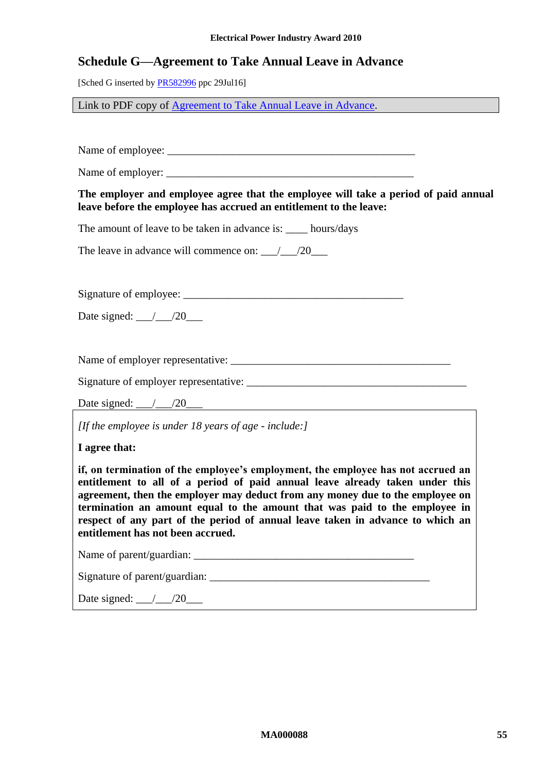#### **Electrical Power Industry Award 2010**

# <span id="page-54-0"></span>**Schedule G—Agreement to Take Annual Leave in Advance**

[Sched G inserted b[y PR582996](http://www.fwc.gov.au/awardsandorders/html/PR582996.htm) ppc 29Jul16]

Link to PDF copy of [Agreement to Take Annual Leave in Advance.](http://www.fwc.gov.au/documents/documents/modern_awards/leave-in-advance-agreement.pdf)

Name of employee: \_\_\_\_\_\_\_\_\_\_\_\_\_\_\_\_\_\_\_\_\_\_\_\_\_\_\_\_\_\_\_\_\_\_\_\_\_\_\_\_\_\_\_\_\_

Name of employer:

**The employer and employee agree that the employee will take a period of paid annual leave before the employee has accrued an entitlement to the leave:**

The amount of leave to be taken in advance is: hours/days

The leave in advance will commence on:  $\qquad$  /20

Signature of employee: \_\_\_\_\_\_\_\_\_\_\_\_\_\_\_\_\_\_\_\_\_\_\_\_\_\_\_\_\_\_\_\_\_\_\_\_\_\_\_\_

Date signed:  $\frac{\ }{\ }$  /20

Name of employer representative:  $\overline{\phantom{a}}$ 

Signature of employer representative: \_\_\_\_\_\_\_\_\_\_\_\_\_\_\_\_\_\_\_\_\_\_\_\_\_\_\_\_\_\_\_\_\_\_\_\_\_\_\_\_

Date signed:  $\angle$   $/20$ 

*[If the employee is under 18 years of age - include:]*

**I agree that:**

**if, on termination of the employee's employment, the employee has not accrued an entitlement to all of a period of paid annual leave already taken under this agreement, then the employer may deduct from any money due to the employee on termination an amount equal to the amount that was paid to the employee in respect of any part of the period of annual leave taken in advance to which an entitlement has not been accrued.**

Name of parent/guardian: \_\_\_\_\_\_\_\_\_\_\_\_\_\_\_\_\_\_\_\_\_\_\_\_\_\_\_\_\_\_\_\_\_\_\_\_\_\_\_\_

Signature of parent/guardian:

Date signed: \_\_\_/\_\_\_/20\_\_\_